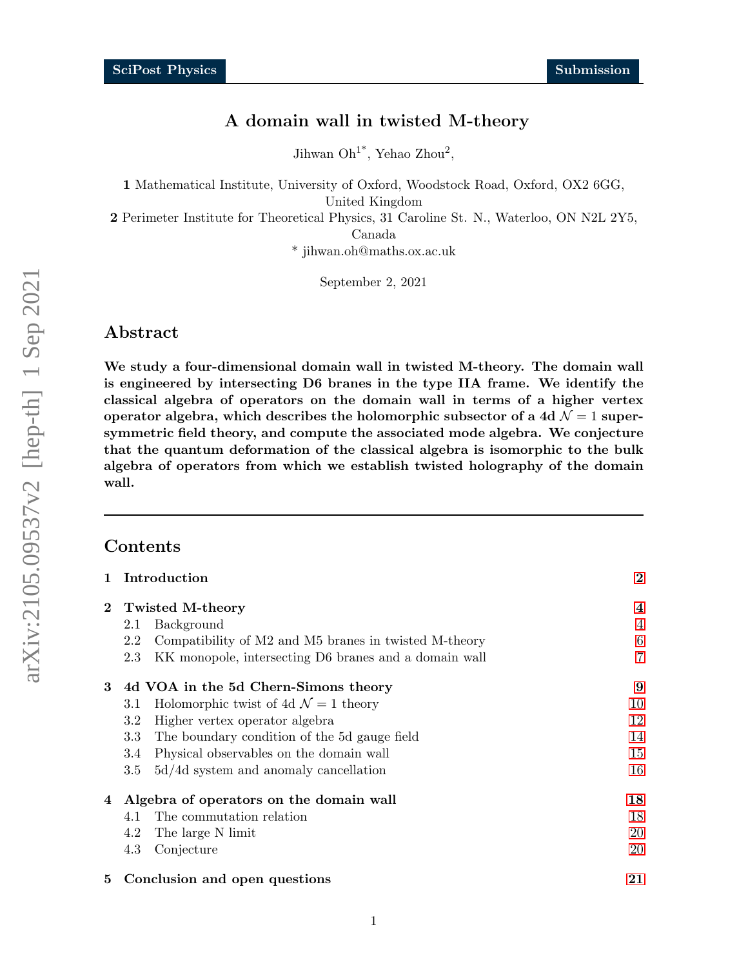# A domain wall in twisted M-theory

Jihwan  $\mathrm{Oh}^{1*}$ , Yehao Zhou<sup>2</sup>,

1 Mathematical Institute, University of Oxford, Woodstock Road, Oxford, OX2 6GG, United Kingdom

2 Perimeter Institute for Theoretical Physics, 31 Caroline St. N., Waterloo, ON N2L 2Y5,

Canada

\* jihwan.oh@maths.ox.ac.uk

September 2, 2021

# Abstract

We study a four-dimensional domain wall in twisted M-theory. The domain wall is engineered by intersecting D6 branes in the type IIA frame. We identify the classical algebra of operators on the domain wall in terms of a higher vertex operator algebra, which describes the holomorphic subsector of a 4d  $\mathcal{N}=1$  supersymmetric field theory, and compute the associated mode algebra. We conjecture that the quantum deformation of the classical algebra is isomorphic to the bulk algebra of operators from which we establish twisted holography of the domain wall.

# Contents

| $\mathbf{1}$ | Introduction                                                 | $\bf{2}$        |  |
|--------------|--------------------------------------------------------------|-----------------|--|
| $2^{-}$      | <b>Twisted M-theory</b>                                      | $\overline{4}$  |  |
|              | Background<br>2.1                                            | $\overline{4}$  |  |
|              | 2.2<br>Compatibility of M2 and M5 branes in twisted M-theory | $6\phantom{.}6$ |  |
|              | KK monopole, intersecting D6 branes and a domain wall<br>2.3 | 7               |  |
| 3            | 4d VOA in the 5d Chern-Simons theory                         | 9               |  |
|              | Holomorphic twist of 4d $\mathcal{N}=1$ theory<br>3.1        | 10              |  |
|              | 3.2<br>Higher vertex operator algebra                        | 12              |  |
|              | The boundary condition of the 5d gauge field<br>3.3          | 14              |  |
|              | Physical observables on the domain wall<br>3.4               | 15              |  |
|              | $5d/4d$ system and anomaly cancellation<br>$3.5\,$           | 16              |  |
| 4            | Algebra of operators on the domain wall                      | 18              |  |
|              | The commutation relation<br>4.1                              | 18              |  |
|              | 4.2<br>The large N limit                                     | 20              |  |
|              | 4.3<br>Conjecture                                            | 20              |  |
| 5            | 21                                                           |                 |  |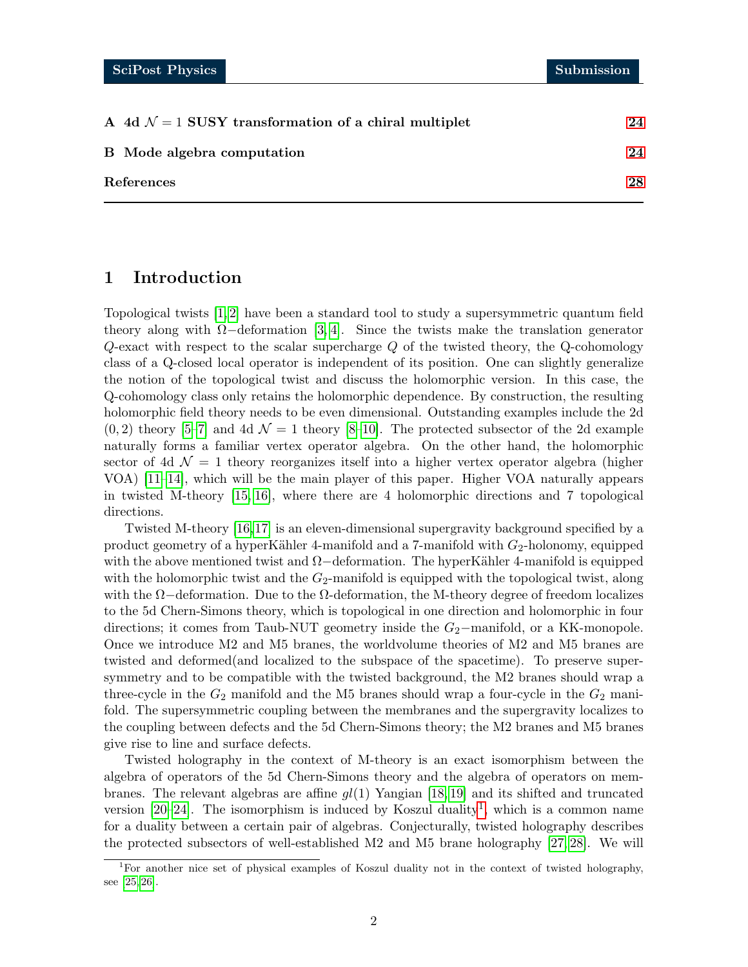| A 4d $\mathcal{N} = 1$ SUSY transformation of a chiral multiplet | 24 |
|------------------------------------------------------------------|----|
| B Mode algebra computation                                       | 24 |
| References                                                       | 28 |

# <span id="page-1-0"></span>1 Introduction

Topological twists [\[1,](#page-27-1) [2\]](#page-27-2) have been a standard tool to study a supersymmetric quantum field theory along with  $\Omega$ −deformation [\[3,](#page-27-3) [4\]](#page-27-4). Since the twists make the translation generator  $Q$ -exact with respect to the scalar supercharge  $Q$  of the twisted theory, the  $Q$ -cohomology class of a Q-closed local operator is independent of its position. One can slightly generalize the notion of the topological twist and discuss the holomorphic version. In this case, the Q-cohomology class only retains the holomorphic dependence. By construction, the resulting holomorphic field theory needs to be even dimensional. Outstanding examples include the 2d  $(0, 2)$  theory [\[5–](#page-27-5)[7\]](#page-27-6) and 4d  $\mathcal{N} = 1$  theory [\[8–](#page-27-7)[10\]](#page-27-8). The protected subsector of the 2d example naturally forms a familiar vertex operator algebra. On the other hand, the holomorphic sector of 4d  $\mathcal{N} = 1$  theory reorganizes itself into a higher vertex operator algebra (higher VOA) [\[11–](#page-27-9)[14\]](#page-28-0), which will be the main player of this paper. Higher VOA naturally appears in twisted M-theory [\[15,](#page-28-1) [16\]](#page-28-2), where there are 4 holomorphic directions and 7 topological directions.

Twisted M-theory [\[16,](#page-28-2)[17\]](#page-28-3) is an eleven-dimensional supergravity background specified by a product geometry of a hyperKähler 4-manifold and a 7-manifold with  $G_2$ -holonomy, equipped with the above mentioned twist and  $\Omega$ −deformation. The hyperKähler 4-manifold is equipped with the holomorphic twist and the  $G_2$ -manifold is equipped with the topological twist, along with the  $\Omega$ −deformation. Due to the  $\Omega$ -deformation, the M-theory degree of freedom localizes to the 5d Chern-Simons theory, which is topological in one direction and holomorphic in four directions; it comes from Taub-NUT geometry inside the  $G_2$ −manifold, or a KK-monopole. Once we introduce M2 and M5 branes, the worldvolume theories of M2 and M5 branes are twisted and deformed(and localized to the subspace of the spacetime). To preserve supersymmetry and to be compatible with the twisted background, the M2 branes should wrap a three-cycle in the  $G_2$  manifold and the M5 branes should wrap a four-cycle in the  $G_2$  manifold. The supersymmetric coupling between the membranes and the supergravity localizes to the coupling between defects and the 5d Chern-Simons theory; the M2 branes and M5 branes give rise to line and surface defects.

Twisted holography in the context of M-theory is an exact isomorphism between the algebra of operators of the 5d Chern-Simons theory and the algebra of operators on membranes. The relevant algebras are affine  $gl(1)$  Yangian [\[18,](#page-28-4) [19\]](#page-28-5) and its shifted and truncated version  $[20-24]$  $[20-24]$ . The isomorphism is induced by Koszul duality<sup>[1](#page-1-1)</sup>, which is a common name for a duality between a certain pair of algebras. Conjecturally, twisted holography describes the protected subsectors of well-established M2 and M5 brane holography [\[27,](#page-28-8) [28\]](#page-28-9). We will

<span id="page-1-1"></span><sup>&</sup>lt;sup>1</sup>For another nice set of physical examples of Koszul duality not in the context of twisted holography, see [\[25,](#page-28-10) [26\]](#page-28-11).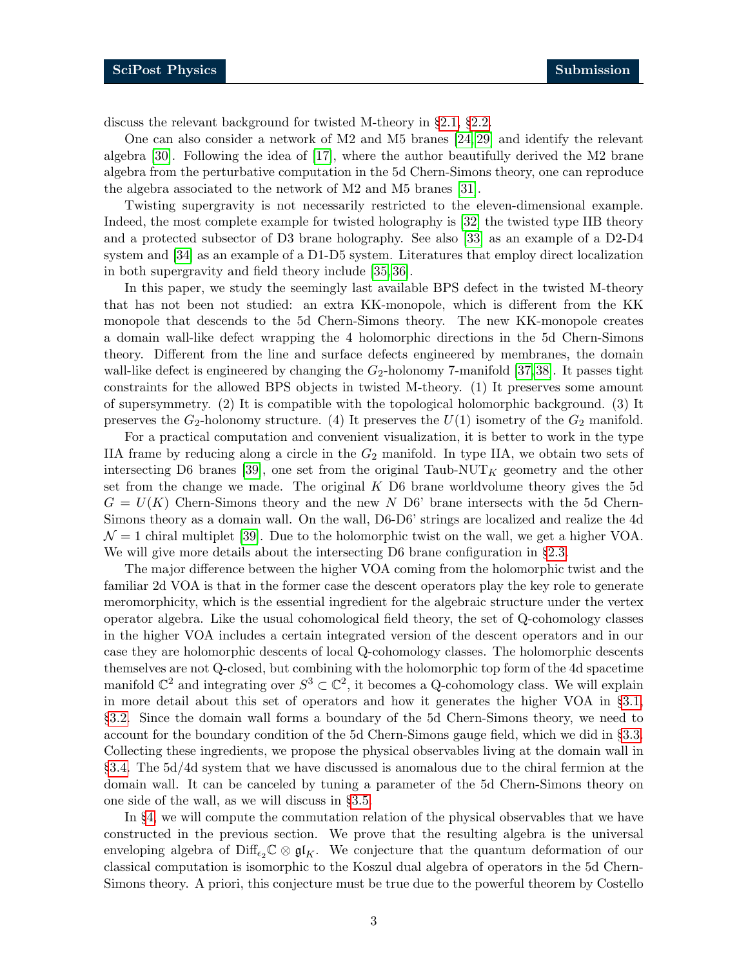discuss the relevant background for twisted M-theory in §[2.1,](#page-3-1) §[2.2.](#page-5-0)

One can also consider a network of M2 and M5 branes [\[24,](#page-28-7) [29\]](#page-28-12) and identify the relevant algebra [\[30\]](#page-29-0). Following the idea of [\[17\]](#page-28-3), where the author beautifully derived the M2 brane algebra from the perturbative computation in the 5d Chern-Simons theory, one can reproduce the algebra associated to the network of M2 and M5 branes [\[31\]](#page-29-1).

Twisting supergravity is not necessarily restricted to the eleven-dimensional example. Indeed, the most complete example for twisted holography is [\[32\]](#page-29-2) the twisted type IIB theory and a protected subsector of D3 brane holography. See also [\[33\]](#page-29-3) as an example of a D2-D4 system and [\[34\]](#page-29-4) as an example of a D1-D5 system. Literatures that employ direct localization in both supergravity and field theory include [\[35,](#page-29-5) [36\]](#page-29-6).

In this paper, we study the seemingly last available BPS defect in the twisted M-theory that has not been not studied: an extra KK-monopole, which is different from the KK monopole that descends to the 5d Chern-Simons theory. The new KK-monopole creates a domain wall-like defect wrapping the 4 holomorphic directions in the 5d Chern-Simons theory. Different from the line and surface defects engineered by membranes, the domain wall-like defect is engineered by changing the  $G_2$ -holonomy 7-manifold [\[37,](#page-29-7)[38\]](#page-29-8). It passes tight constraints for the allowed BPS objects in twisted M-theory. (1) It preserves some amount of supersymmetry. (2) It is compatible with the topological holomorphic background. (3) It preserves the  $G_2$ -holonomy structure. (4) It preserves the  $U(1)$  isometry of the  $G_2$  manifold.

For a practical computation and convenient visualization, it is better to work in the type IIA frame by reducing along a circle in the  $G_2$  manifold. In type IIA, we obtain two sets of intersecting D6 branes [\[39\]](#page-29-9), one set from the original Taub-NUT<sub>K</sub> geometry and the other set from the change we made. The original  $K$  D6 brane worldvolume theory gives the 5d  $G = U(K)$  Chern-Simons theory and the new N D6' brane intersects with the 5d Chern-Simons theory as a domain wall. On the wall, D6-D6' strings are localized and realize the 4d  $\mathcal{N} = 1$  chiral multiplet [\[39\]](#page-29-9). Due to the holomorphic twist on the wall, we get a higher VOA. We will give more details about the intersecting D6 brane configuration in  $\S 2.3$ .

The major difference between the higher VOA coming from the holomorphic twist and the familiar 2d VOA is that in the former case the descent operators play the key role to generate meromorphicity, which is the essential ingredient for the algebraic structure under the vertex operator algebra. Like the usual cohomological field theory, the set of Q-cohomology classes in the higher VOA includes a certain integrated version of the descent operators and in our case they are holomorphic descents of local Q-cohomology classes. The holomorphic descents themselves are not Q-closed, but combining with the holomorphic top form of the 4d spacetime manifold  $\mathbb{C}^2$  and integrating over  $S^3 \subset \mathbb{C}^2$ , it becomes a Q-cohomology class. We will explain in more detail about this set of operators and how it generates the higher VOA in §[3.1,](#page-9-0) §[3.2.](#page-11-0) Since the domain wall forms a boundary of the 5d Chern-Simons theory, we need to account for the boundary condition of the 5d Chern-Simons gauge field, which we did in §[3.3.](#page-13-0) Collecting these ingredients, we propose the physical observables living at the domain wall in §[3.4.](#page-14-0) The 5d/4d system that we have discussed is anomalous due to the chiral fermion at the domain wall. It can be canceled by tuning a parameter of the 5d Chern-Simons theory on one side of the wall, as we will discuss in §[3.5.](#page-15-0)

In §[4,](#page-17-0) we will compute the commutation relation of the physical observables that we have constructed in the previous section. We prove that the resulting algebra is the universal enveloping algebra of Diff<sub> $\epsilon_2\mathbb{C}\otimes\mathfrak{gl}_K$ . We conjecture that the quantum deformation of our</sub> classical computation is isomorphic to the Koszul dual algebra of operators in the 5d Chern-Simons theory. A priori, this conjecture must be true due to the powerful theorem by Costello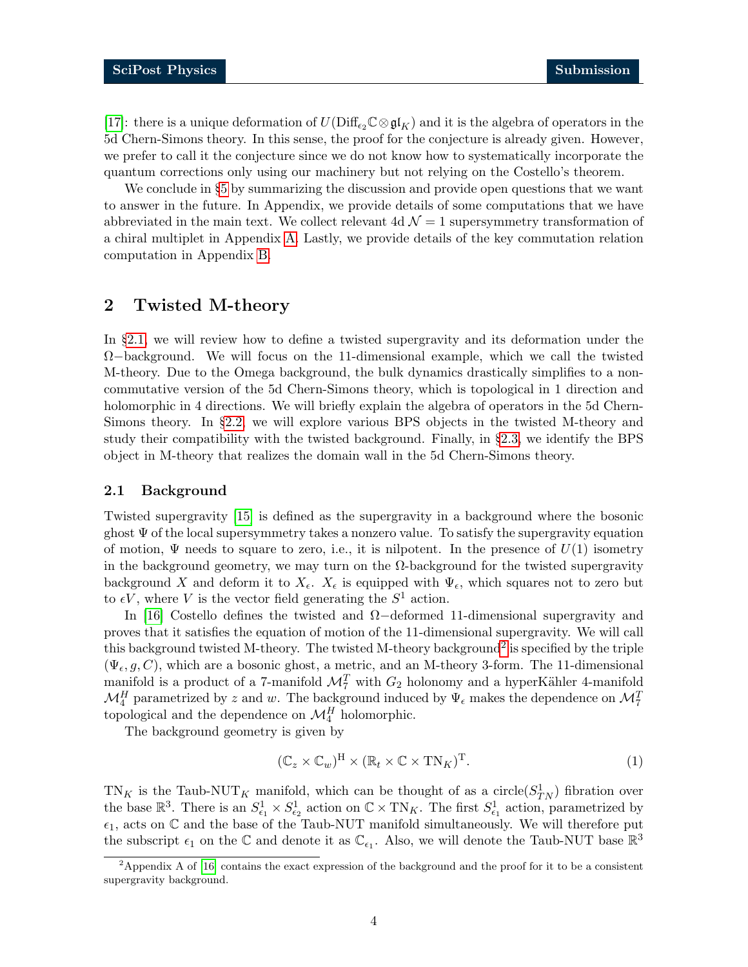[\[17\]](#page-28-3): there is a unique deformation of  $U(\text{Diff}_{\epsilon_2}\mathbb{C}\otimes\mathfrak{gl}_K)$  and it is the algebra of operators in the 5d Chern-Simons theory. In this sense, the proof for the conjecture is already given. However, we prefer to call it the conjecture since we do not know how to systematically incorporate the quantum corrections only using our machinery but not relying on the Costello's theorem.

We conclude in §[5](#page-20-0) by summarizing the discussion and provide open questions that we want to answer in the future. In Appendix, we provide details of some computations that we have abbreviated in the main text. We collect relevant 4d  $\mathcal{N}=1$  supersymmetry transformation of a chiral multiplet in Appendix [A.](#page-23-0) Lastly, we provide details of the key commutation relation computation in Appendix [B.](#page-23-1)

# <span id="page-3-0"></span>2 Twisted M-theory

In §[2.1,](#page-3-1) we will review how to define a twisted supergravity and its deformation under the  $\Omega$ −background. We will focus on the 11-dimensional example, which we call the twisted M-theory. Due to the Omega background, the bulk dynamics drastically simplifies to a noncommutative version of the 5d Chern-Simons theory, which is topological in 1 direction and holomorphic in 4 directions. We will briefly explain the algebra of operators in the 5d Chern-Simons theory. In §[2.2,](#page-5-0) we will explore various BPS objects in the twisted M-theory and study their compatibility with the twisted background. Finally, in §[2.3,](#page-6-0) we identify the BPS object in M-theory that realizes the domain wall in the 5d Chern-Simons theory.

#### <span id="page-3-1"></span>2.1 Background

Twisted supergravity [\[15\]](#page-28-1) is defined as the supergravity in a background where the bosonic ghost  $\Psi$  of the local supersymmetry takes a nonzero value. To satisfy the supergravity equation of motion,  $\Psi$  needs to square to zero, i.e., it is nilpotent. In the presence of  $U(1)$  isometry in the background geometry, we may turn on the  $\Omega$ -background for the twisted supergravity background X and deform it to  $X_{\epsilon}$ .  $X_{\epsilon}$  is equipped with  $\Psi_{\epsilon}$ , which squares not to zero but to  $\epsilon V$ , where V is the vector field generating the  $S^1$  action.

In [\[16\]](#page-28-2) Costello defines the twisted and Ω−deformed 11-dimensional supergravity and proves that it satisfies the equation of motion of the 11-dimensional supergravity. We will call this background twisted M-theory. The twisted M-theory background<sup>[2](#page-3-2)</sup> is specified by the triple  $(\Psi_{\epsilon}, g, C)$ , which are a bosonic ghost, a metric, and an M-theory 3-form. The 11-dimensional manifold is a product of a 7-manifold  $\mathcal{M}_7^T$  with  $G_2$  holonomy and a hyperKähler 4-manifold  $\mathcal{M}_4^H$  parametrized by z and w. The background induced by  $\Psi_{\epsilon}$  makes the dependence on  $\mathcal{M}_7^T$ topological and the dependence on  $\mathcal{M}^H_4$  holomorphic.

The background geometry is given by

$$
(\mathbb{C}_z \times \mathbb{C}_w)^{\mathcal{H}} \times (\mathbb{R}_t \times \mathbb{C} \times \mathcal{T} \mathcal{N}_K)^{\mathcal{T}}.
$$
 (1)

 $TN_K$  is the Taub-NUT<sub>K</sub> manifold, which can be thought of as a circle( $S_{TN}^1$ ) fibration over the base  $\mathbb{R}^3$ . There is an  $S^1_{\epsilon_1} \times S^1_{\epsilon_2}$  action on  $\mathbb{C} \times \text{TN}_K$ . The first  $S^1_{\epsilon_1}$  action, parametrized by  $\epsilon_1$ , acts on  $\mathbb C$  and the base of the Taub-NUT manifold simultaneously. We will therefore put the subscript  $\epsilon_1$  on the  $\mathbb C$  and denote it as  $\mathbb C_{\epsilon_1}$ . Also, we will denote the Taub-NUT base  $\mathbb R^3$ 

<span id="page-3-2"></span><sup>&</sup>lt;sup>2</sup>Appendix A of [\[16\]](#page-28-2) contains the exact expression of the background and the proof for it to be a consistent supergravity background.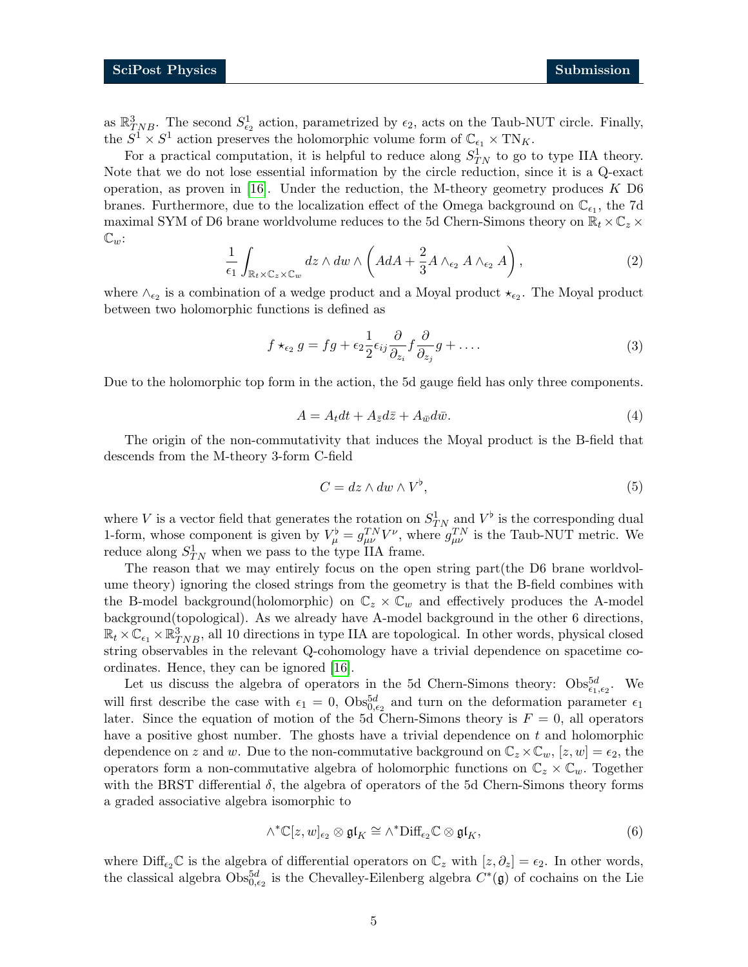as  $\mathbb{R}^3_{TNB}$ . The second  $S^1_{\epsilon_2}$  action, parametrized by  $\epsilon_2$ , acts on the Taub-NUT circle. Finally, the  $S^1 \times S^1$  action preserves the holomorphic volume form of  $\mathbb{C}_{\epsilon_1} \times \text{TN}_K$ .

For a practical computation, it is helpful to reduce along  $S_{TN}^1$  to go to type IIA theory. Note that we do not lose essential information by the circle reduction, since it is a Q-exact operation, as proven in [\[16\]](#page-28-2). Under the reduction, the M-theory geometry produces  $K$  D6 branes. Furthermore, due to the localization effect of the Omega background on  $\mathbb{C}_{\epsilon_1}$ , the 7d maximal SYM of D6 brane worldvolume reduces to the 5d Chern-Simons theory on  $\mathbb{R}_t \times \mathbb{C}_z \times$  $\mathbb{C}_w$ :

$$
\frac{1}{\epsilon_1} \int_{\mathbb{R}_t \times \mathbb{C}_z \times \mathbb{C}_w} dz \wedge dw \wedge \left( AdA + \frac{2}{3} A \wedge_{\epsilon_2} A \wedge_{\epsilon_2} A \right), \tag{2}
$$

where  $\wedge_{\epsilon_2}$  is a combination of a wedge product and a Moyal product  $\star_{\epsilon_2}$ . The Moyal product between two holomorphic functions is defined as

$$
f \star_{\epsilon_2} g = fg + \epsilon_2 \frac{1}{2} \epsilon_{ij} \frac{\partial}{\partial_{z_i}} f \frac{\partial}{\partial_{z_j}} g + \dots
$$
 (3)

Due to the holomorphic top form in the action, the 5d gauge field has only three components.

$$
A = A_t dt + A_{\bar{z}} d\bar{z} + A_{\bar{w}} d\bar{w}.
$$
\n<sup>(4)</sup>

The origin of the non-commutativity that induces the Moyal product is the B-field that descends from the M-theory 3-form C-field

$$
C = dz \wedge dw \wedge V^{\flat}, \tag{5}
$$

where V is a vector field that generates the rotation on  $S_{TN}^1$  and  $V^{\flat}$  is the corresponding dual 1-form, whose component is given by  $V^{\flat}_{\mu} = g_{\mu\nu}^{TN} V^{\nu}$ , where  $g_{\mu\nu}^{TN}$  is the Taub-NUT metric. We reduce along  $S_{TN}^1$  when we pass to the type IIA frame.

The reason that we may entirely focus on the open string part(the D6 brane worldvolume theory) ignoring the closed strings from the geometry is that the B-field combines with the B-model background(holomorphic) on  $\mathbb{C}_z \times \mathbb{C}_w$  and effectively produces the A-model background(topological). As we already have A-model background in the other 6 directions,  $\mathbb{R}_t \times \mathbb{C}_{\epsilon_1} \times \mathbb{R}_{TNB}^3$ , all 10 directions in type IIA are topological. In other words, physical closed string observables in the relevant Q-cohomology have a trivial dependence on spacetime coordinates. Hence, they can be ignored [\[16\]](#page-28-2).

Let us discuss the algebra of operators in the 5d Chern-Simons theory:  $\text{Obs}_{\epsilon_1,\epsilon_2}^{5d}$ . We will first describe the case with  $\epsilon_1 = 0$ ,  $\text{Obs}_{0,\epsilon_2}^{5d}$  and turn on the deformation parameter  $\epsilon_1$ later. Since the equation of motion of the 5d Chern-Simons theory is  $F = 0$ , all operators have a positive ghost number. The ghosts have a trivial dependence on  $t$  and holomorphic dependence on z and w. Due to the non-commutative background on  $\mathbb{C}_z \times \mathbb{C}_w$ ,  $[z, w] = \epsilon_2$ , the operators form a non-commutative algebra of holomorphic functions on  $\mathbb{C}_z \times \mathbb{C}_w$ . Together with the BRST differential  $\delta$ , the algebra of operators of the 5d Chern-Simons theory forms a graded associative algebra isomorphic to

$$
\wedge^* \mathbb{C}[z, w]_{\epsilon_2} \otimes \mathfrak{gl}_K \cong \wedge^* \text{Diff}_{\epsilon_2} \mathbb{C} \otimes \mathfrak{gl}_K, \tag{6}
$$

where  $\text{Diff}_{\epsilon_2}\mathbb{C}$  is the algebra of differential operators on  $\mathbb{C}_z$  with  $[z, \partial_z] = \epsilon_2$ . In other words, the classical algebra  $\text{Obs}_{0,\epsilon_2}^{5d}$  is the Chevalley-Eilenberg algebra  $C^*(\mathfrak{g})$  of cochains on the Lie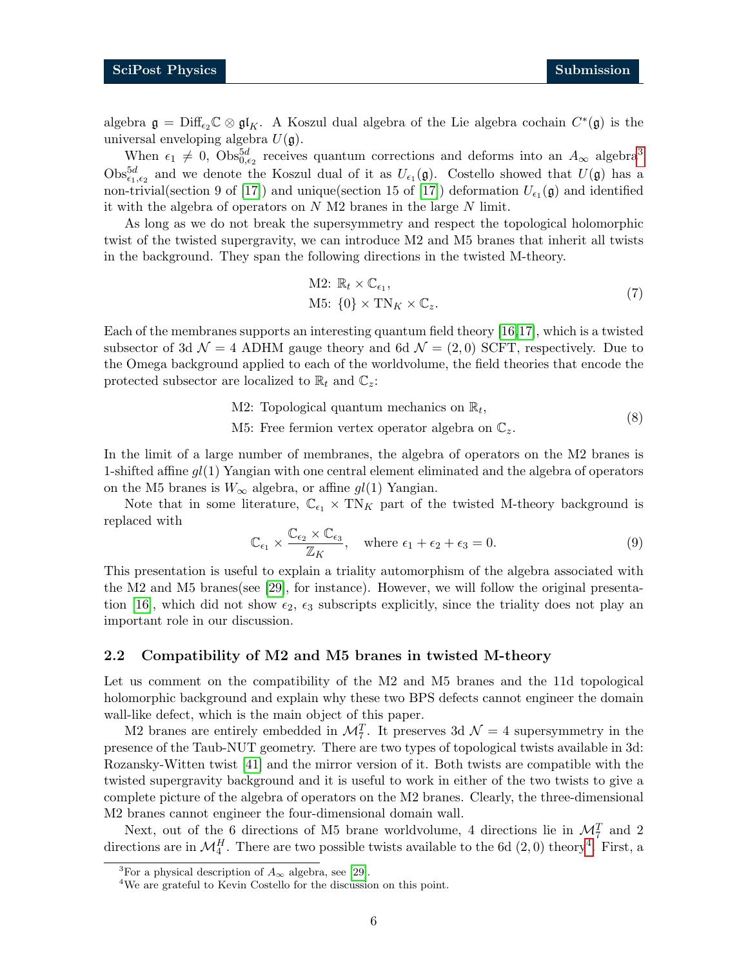algebra  $\mathfrak{g} = \text{Diff}_{\epsilon_2} \mathbb{C} \otimes \mathfrak{gl}_K$ . A Koszul dual algebra of the Lie algebra cochain  $C^*(\mathfrak{g})$  is the universal enveloping algebra  $U(\mathfrak{g})$ .

When  $\epsilon_1 \neq 0$ ,  $\text{Obs}_{0,\epsilon_2}^{5d}$  receives quantum corrections and deforms into an  $A_{\infty}$  algebra<sup>[3](#page-5-1)</sup>  $\text{Obs}_{\epsilon_1,\epsilon_2}^{5d}$  and we denote the Koszul dual of it as  $U_{\epsilon_1}(\mathfrak{g})$ . Costello showed that  $U(\mathfrak{g})$  has a non-trivial(section 9 of [\[17\]](#page-28-3)) and unique(section 15 of [17]) deformation  $U_{\epsilon_1}(\mathfrak{g})$  and identified it with the algebra of operators on  $N$  M2 branes in the large  $N$  limit.

As long as we do not break the supersymmetry and respect the topological holomorphic twist of the twisted supergravity, we can introduce M2 and M5 branes that inherit all twists in the background. They span the following directions in the twisted M-theory.

<span id="page-5-3"></span>M2: 
$$
\mathbb{R}_t \times \mathbb{C}_{\epsilon_1}
$$
,  
M5:  $\{0\} \times \text{TN}_K \times \mathbb{C}_z$ . (7)

Each of the membranes supports an interesting quantum field theory [\[16,](#page-28-2)[17\]](#page-28-3), which is a twisted subsector of 3d  $\mathcal{N} = 4$  ADHM gauge theory and 6d  $\mathcal{N} = (2,0)$  SCFT, respectively. Due to the Omega background applied to each of the worldvolume, the field theories that encode the protected subsector are localized to  $\mathbb{R}_t$  and  $\mathbb{C}_z$ :

> M2: Topological quantum mechanics on  $\mathbb{R}_t$ , (8)

M5: Free fermion vertex operator algebra on  $\mathbb{C}_z$ .

In the limit of a large number of membranes, the algebra of operators on the M2 branes is 1-shifted affine  $gl(1)$  Yangian with one central element eliminated and the algebra of operators on the M5 branes is  $W_{\infty}$  algebra, or affine  $gl(1)$  Yangian.

Note that in some literature,  $\mathbb{C}_{\epsilon_1} \times \text{TN}_K$  part of the twisted M-theory background is replaced with

$$
\mathbb{C}_{\epsilon_1} \times \frac{\mathbb{C}_{\epsilon_2} \times \mathbb{C}_{\epsilon_3}}{\mathbb{Z}_K}, \quad \text{where } \epsilon_1 + \epsilon_2 + \epsilon_3 = 0.
$$
 (9)

This presentation is useful to explain a triality automorphism of the algebra associated with the M2 and M5 branes(see [\[29\]](#page-28-12), for instance). However, we will follow the original presenta-tion [\[16\]](#page-28-2), which did not show  $\epsilon_2$ ,  $\epsilon_3$  subscripts explicitly, since the triality does not play an important role in our discussion.

#### <span id="page-5-0"></span>2.2 Compatibility of M2 and M5 branes in twisted M-theory

Let us comment on the compatibility of the M2 and M5 branes and the 11d topological holomorphic background and explain why these two BPS defects cannot engineer the domain wall-like defect, which is the main object of this paper.

M2 branes are entirely embedded in  $\mathcal{M}_7^T$ . It preserves 3d  $\mathcal{N}=4$  supersymmetry in the presence of the Taub-NUT geometry. There are two types of topological twists available in 3d: Rozansky-Witten twist [\[41\]](#page-29-10) and the mirror version of it. Both twists are compatible with the twisted supergravity background and it is useful to work in either of the two twists to give a complete picture of the algebra of operators on the M2 branes. Clearly, the three-dimensional M2 branes cannot engineer the four-dimensional domain wall.

Next, out of the 6 directions of M5 brane worldvolume, 4 directions lie in  $\mathcal{M}_7^T$  and 2 directions are in  $\mathcal{M}_4^H$  $\mathcal{M}_4^H$  $\mathcal{M}_4^H$ . There are two possible twists available to the 6d  $(2,0)$  theory<sup>4</sup>. First, a

<span id="page-5-1"></span><sup>&</sup>lt;sup>3</sup>For a physical description of  $A_{\infty}$  algebra, see [\[29\]](#page-28-12).

<span id="page-5-2"></span><sup>&</sup>lt;sup>4</sup>We are grateful to Kevin Costello for the discussion on this point.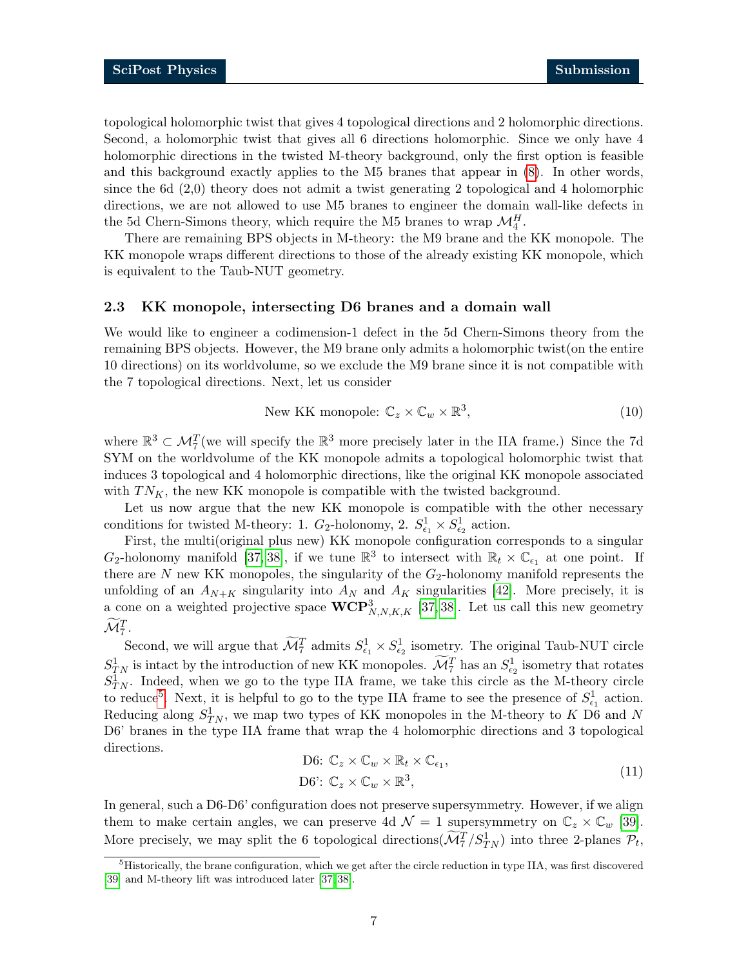topological holomorphic twist that gives 4 topological directions and 2 holomorphic directions. Second, a holomorphic twist that gives all 6 directions holomorphic. Since we only have 4 holomorphic directions in the twisted M-theory background, only the first option is feasible and this background exactly applies to the M5 branes that appear in [\(8\)](#page-5-3). In other words, since the 6d (2,0) theory does not admit a twist generating 2 topological and 4 holomorphic directions, we are not allowed to use M5 branes to engineer the domain wall-like defects in the 5d Chern-Simons theory, which require the M5 branes to wrap  $\mathcal{M}_4^H$ .

There are remaining BPS objects in M-theory: the M9 brane and the KK monopole. The KK monopole wraps different directions to those of the already existing KK monopole, which is equivalent to the Taub-NUT geometry.

#### <span id="page-6-0"></span>2.3 KK monopole, intersecting D6 branes and a domain wall

We would like to engineer a codimension-1 defect in the 5d Chern-Simons theory from the remaining BPS objects. However, the M9 brane only admits a holomorphic twist(on the entire 10 directions) on its worldvolume, so we exclude the M9 brane since it is not compatible with the 7 topological directions. Next, let us consider

New KK monopole: 
$$
\mathbb{C}_z \times \mathbb{C}_w \times \mathbb{R}^3,
$$
 (10)

where  $\mathbb{R}^3 \subset \mathcal{M}_7^T$  (we will specify the  $\mathbb{R}^3$  more precisely later in the IIA frame.) Since the 7d SYM on the worldvolume of the KK monopole admits a topological holomorphic twist that induces 3 topological and 4 holomorphic directions, like the original KK monopole associated with  $TN_K$ , the new KK monopole is compatible with the twisted background.

Let us now argue that the new KK monopole is compatible with the other necessary conditions for twisted M-theory: 1.  $G_2$ -holonomy, 2.  $S^1_{\epsilon_1} \times S^1_{\epsilon_2}$  action.

First, the multi(original plus new) KK monopole configuration corresponds to a singular  $G_2$ -holonomy manifold [\[37,](#page-29-7) [38\]](#page-29-8), if we tune  $\mathbb{R}^3$  to intersect with  $\mathbb{R}_t \times \mathbb{C}_{\epsilon_1}$  at one point. If there are  $N$  new KK monopoles, the singularity of the  $G_2$ -holonomy manifold represents the unfolding of an  $A_{N+K}$  singularity into  $A_N$  and  $A_K$  singularities [\[42\]](#page-29-11). More precisely, it is a cone on a weighted projective space  $\mathbf{WCP}^3_{N,N,K,K}$  [\[37,](#page-29-7) [38\]](#page-29-8). Let us call this new geometry  $\widetilde{\mathcal{M}}_{7}^{T}.$ 

Second, we will argue that  $\widetilde{\mathcal{M}}_7^T$  admits  $S^1_{\epsilon_1} \times S^1_{\epsilon_2}$  isometry. The original Taub-NUT circle  $S_{TN}^1$  is intact by the introduction of new KK monopoles.  $\widetilde{\mathcal{M}}_7^T$  has an  $S_{\epsilon_2}^1$  isometry that rotates  $S_{TN}^1$ . Indeed, when we go to the type IIA frame, we take this circle as the M-theory circle to reduce<sup>[5](#page-6-1)</sup>. Next, it is helpful to go to the type IIA frame to see the presence of  $S_{\epsilon_1}^1$  action. Reducing along  $S_{TN}^1$ , we map two types of KK monopoles in the M-theory to K D6 and N D6' branes in the type IIA frame that wrap the 4 holomorphic directions and 3 topological directions.

D6: 
$$
\mathbb{C}_z \times \mathbb{C}_w \times \mathbb{R}_t \times \mathbb{C}_{\epsilon_1}
$$
,  
D6':  $\mathbb{C}_z \times \mathbb{C}_w \times \mathbb{R}^3$ , (11)

In general, such a D6-D6' configuration does not preserve supersymmetry. However, if we align them to make certain angles, we can preserve 4d  $\mathcal{N} = 1$  supersymmetry on  $\mathbb{C}_z \times \mathbb{C}_w$  [\[39\]](#page-29-9). More precisely, we may split the 6 topological directions  $(\widetilde{\mathcal{M}}_7^T/S_{TN}^1)$  into three 2-planes  $\mathcal{P}_t$ ,

<span id="page-6-1"></span><sup>5</sup>Historically, the brane configuration, which we get after the circle reduction in type IIA, was first discovered [\[39\]](#page-29-9) and M-theory lift was introduced later [\[37,](#page-29-7) [38\]](#page-29-8).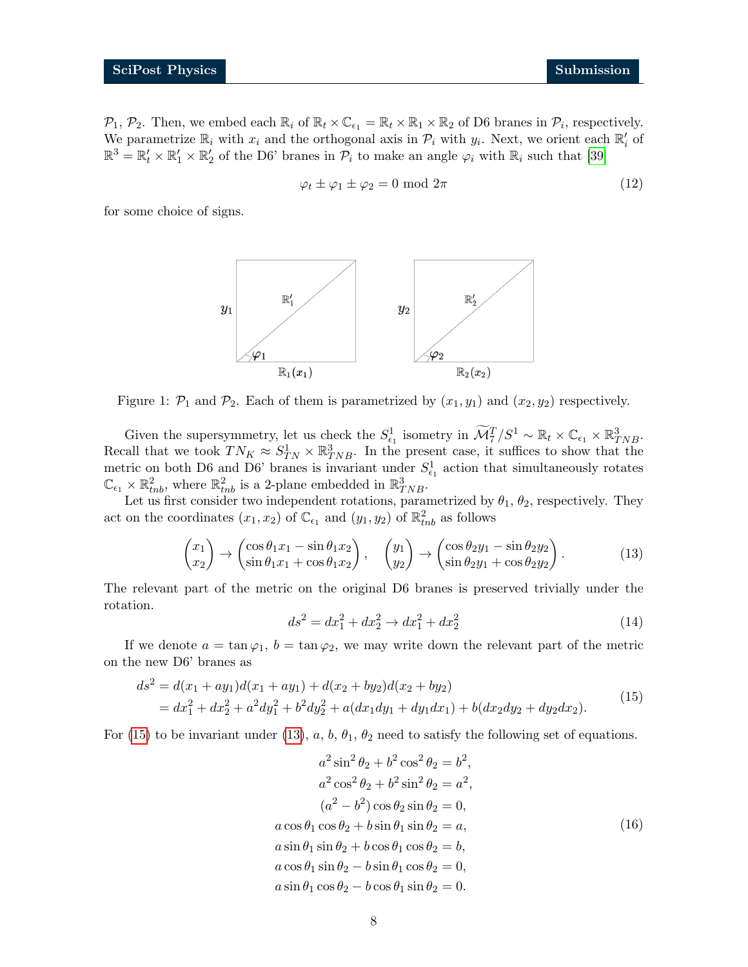$\mathcal{P}_1$ ,  $\mathcal{P}_2$ . Then, we embed each  $\mathbb{R}_i$  of  $\mathbb{R}_t \times \mathbb{C}_{\epsilon_1} = \mathbb{R}_t \times \mathbb{R}_1 \times \mathbb{R}_2$  of D6 branes in  $\mathcal{P}_i$ , respectively. We parametrize  $\mathbb{R}_i$  with  $x_i$  and the orthogonal axis in  $\mathcal{P}_i$  with  $y_i$ . Next, we orient each  $\mathbb{R}'_i$  of  $\mathbb{R}^3 = \mathbb{R}'_t \times \mathbb{R}'_1 \times \mathbb{R}'_2$  of the D6' branes in  $\mathcal{P}_i$  to make an angle  $\varphi_i$  with  $\mathbb{R}_i$  such that [\[39\]](#page-29-9)

<span id="page-7-2"></span>
$$
\varphi_t \pm \varphi_1 \pm \varphi_2 = 0 \text{ mod } 2\pi \tag{12}
$$

for some choice of signs.



Figure 1:  $\mathcal{P}_1$  and  $\mathcal{P}_2$ . Each of them is parametrized by  $(x_1, y_1)$  and  $(x_2, y_2)$  respectively.

Given the supersymmetry, let us check the  $S_{\epsilon_1}^1$  isometry in  $\widetilde{\mathcal{M}}_7^T/S^1 \sim \mathbb{R}_t \times \mathbb{C}_{\epsilon_1} \times \mathbb{R}_{TNB}^3$ . Recall that we took  $TN_K \approx S_{TN}^1 \times \mathbb{R}_{TNB}^3$ . In the present case, it suffices to show that the metric on both D6 and D6' branes is invariant under  $S_{\epsilon_1}^1$  action that simultaneously rotates  $\mathbb{C}_{\epsilon_1} \times \mathbb{R}^2_{thb}$ , where  $\mathbb{R}^2_{thb}$  is a 2-plane embedded in  $\mathbb{R}^3_{TNB}$ .

Let us first consider two independent rotations, parametrized by  $\theta_1$ ,  $\theta_2$ , respectively. They act on the coordinates  $(x_1, x_2)$  of  $\mathbb{C}_{\epsilon_1}$  and  $(y_1, y_2)$  of  $\mathbb{R}^2_{thb}$  as follows

$$
\begin{pmatrix} x_1 \\ x_2 \end{pmatrix} \rightarrow \begin{pmatrix} \cos \theta_1 x_1 - \sin \theta_1 x_2 \\ \sin \theta_1 x_1 + \cos \theta_1 x_2 \end{pmatrix}, \quad \begin{pmatrix} y_1 \\ y_2 \end{pmatrix} \rightarrow \begin{pmatrix} \cos \theta_2 y_1 - \sin \theta_2 y_2 \\ \sin \theta_2 y_1 + \cos \theta_2 y_2 \end{pmatrix}.
$$
 (13)

The relevant part of the metric on the original D6 branes is preserved trivially under the rotation.

<span id="page-7-1"></span><span id="page-7-0"></span>
$$
ds^2 = dx_1^2 + dx_2^2 \rightarrow dx_1^2 + dx_2^2 \tag{14}
$$

If we denote  $a = \tan \varphi_1$ ,  $b = \tan \varphi_2$ , we may write down the relevant part of the metric on the new D6' branes as

$$
ds^{2} = d(x_{1} + ay_{1})d(x_{1} + ay_{1}) + d(x_{2} + by_{2})d(x_{2} + by_{2})
$$
  
=  $dx_{1}^{2} + dx_{2}^{2} + a^{2}dy_{1}^{2} + b^{2}dy_{2}^{2} + a(dx_{1}dy_{1} + dy_{1}dx_{1}) + b(dx_{2}dy_{2} + dy_{2}dx_{2}).$  (15)

For [\(15\)](#page-7-0) to be invariant under [\(13\)](#page-7-1),  $a, b, \theta_1, \theta_2$  need to satisfy the following set of equations.

$$
a^{2} \sin^{2} \theta_{2} + b^{2} \cos^{2} \theta_{2} = b^{2},
$$
  
\n
$$
a^{2} \cos^{2} \theta_{2} + b^{2} \sin^{2} \theta_{2} = a^{2},
$$
  
\n
$$
(a^{2} - b^{2}) \cos \theta_{2} \sin \theta_{2} = 0,
$$
  
\n
$$
a \cos \theta_{1} \cos \theta_{2} + b \sin \theta_{1} \sin \theta_{2} = a,
$$
  
\n
$$
a \sin \theta_{1} \sin \theta_{2} + b \cos \theta_{1} \cos \theta_{2} = b,
$$
  
\n
$$
a \cos \theta_{1} \sin \theta_{2} - b \sin \theta_{1} \cos \theta_{2} = 0,
$$
  
\n
$$
a \sin \theta_{1} \cos \theta_{2} - b \cos \theta_{1} \sin \theta_{2} = 0.
$$
  
\n(16)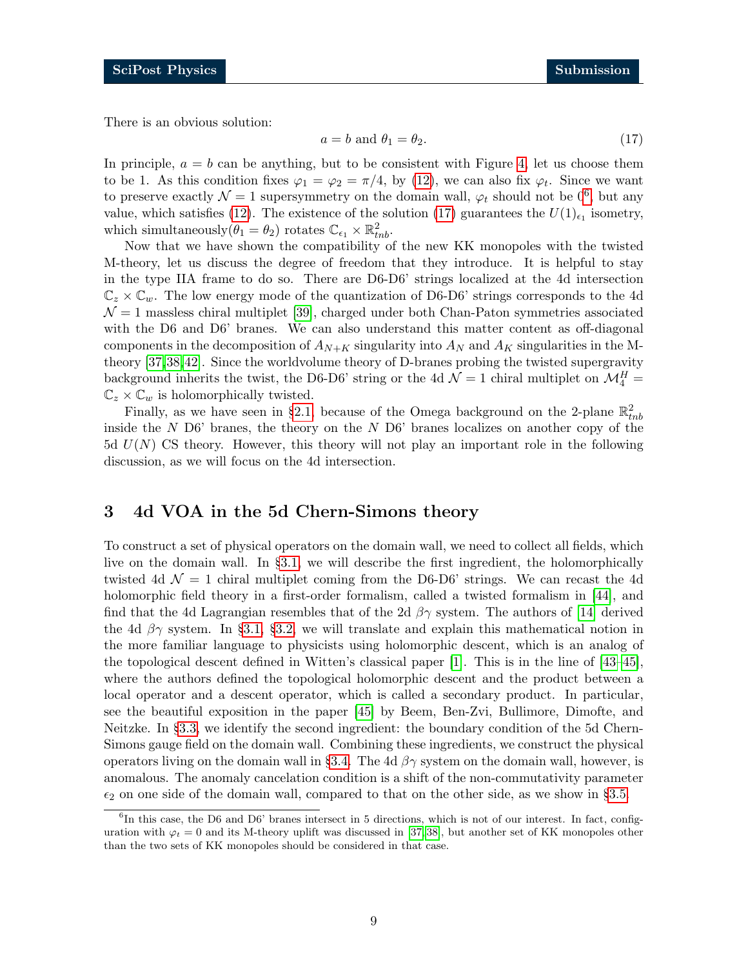There is an obvious solution:

<span id="page-8-2"></span>
$$
a = b \text{ and } \theta_1 = \theta_2. \tag{17}
$$

In principle,  $a = b$  can be anything, but to be consistent with Figure [4,](#page-22-0) let us choose them to be 1. As this condition fixes  $\varphi_1 = \varphi_2 = \pi/4$ , by [\(12\)](#page-7-2), we can also fix  $\varphi_t$ . Since we want to preserve exactly  $\mathcal{N}=1$  supersymmetry on the domain wall,  $\varphi_t$  should not be  $0^6$  $0^6$ , but any value, which satisfies [\(12\)](#page-7-2). The existence of the solution [\(17\)](#page-8-2) guarantees the  $U(1)_{\epsilon_1}$  isometry, which simultaneously  $(\theta_1 = \theta_2)$  rotates  $\mathbb{C}_{\epsilon_1} \times \mathbb{R}^2_{thb}$ .

Now that we have shown the compatibility of the new KK monopoles with the twisted M-theory, let us discuss the degree of freedom that they introduce. It is helpful to stay in the type IIA frame to do so. There are D6-D6' strings localized at the 4d intersection  $\mathbb{C}_z \times \mathbb{C}_w$ . The low energy mode of the quantization of D6-D6' strings corresponds to the 4d  $\mathcal{N} = 1$  massless chiral multiplet [\[39\]](#page-29-9), charged under both Chan-Paton symmetries associated with the D6 and D6' branes. We can also understand this matter content as off-diagonal components in the decomposition of  $A_{N+K}$  singularity into  $A_N$  and  $A_K$  singularities in the Mtheory [\[37,](#page-29-7)[38,](#page-29-8)[42\]](#page-29-11). Since the worldvolume theory of D-branes probing the twisted supergravity background inherits the twist, the D6-D6' string or the 4d  $\mathcal{N}=1$  chiral multiplet on  $\mathcal{M}_{4}^{H}$  =  $\mathbb{C}_z \times \mathbb{C}_w$  is holomorphically twisted.

Finally, as we have seen in §[2.1,](#page-3-1) because of the Omega background on the 2-plane  $\mathbb{R}^2_{thb}$ inside the N D6' branes, the theory on the N D6' branes localizes on another copy of the  $5d U(N)$  CS theory. However, this theory will not play an important role in the following discussion, as we will focus on the 4d intersection.

## <span id="page-8-0"></span>3 4d VOA in the 5d Chern-Simons theory

To construct a set of physical operators on the domain wall, we need to collect all fields, which live on the domain wall. In §[3.1,](#page-9-0) we will describe the first ingredient, the holomorphically twisted 4d  $\mathcal{N} = 1$  chiral multiplet coming from the D6-D6' strings. We can recast the 4d holomorphic field theory in a first-order formalism, called a twisted formalism in [\[44\]](#page-29-12), and find that the 4d Lagrangian resembles that of the 2d  $\beta\gamma$  system. The authors of [\[14\]](#page-28-0) derived the 4d  $\beta\gamma$  system. In §[3.1,](#page-9-0) §[3.2,](#page-11-0) we will translate and explain this mathematical notion in the more familiar language to physicists using holomorphic descent, which is an analog of the topological descent defined in Witten's classical paper [\[1\]](#page-27-1). This is in the line of [\[43–](#page-29-13)[45\]](#page-29-14), where the authors defined the topological holomorphic descent and the product between a local operator and a descent operator, which is called a secondary product. In particular, see the beautiful exposition in the paper [\[45\]](#page-29-14) by Beem, Ben-Zvi, Bullimore, Dimofte, and Neitzke. In §[3.3,](#page-13-0) we identify the second ingredient: the boundary condition of the 5d Chern-Simons gauge field on the domain wall. Combining these ingredients, we construct the physical operators living on the domain wall in §[3.4.](#page-14-0) The 4d  $\beta\gamma$  system on the domain wall, however, is anomalous. The anomaly cancelation condition is a shift of the non-commutativity parameter  $\epsilon_2$  on one side of the domain wall, compared to that on the other side, as we show in §[3.5.](#page-15-0)

<span id="page-8-1"></span><sup>&</sup>lt;sup>6</sup>In this case, the D6 and D6' branes intersect in 5 directions, which is not of our interest. In fact, configuration with  $\varphi_t = 0$  and its M-theory uplift was discussed in [\[37,](#page-29-7)38], but another set of KK monopoles other than the two sets of KK monopoles should be considered in that case.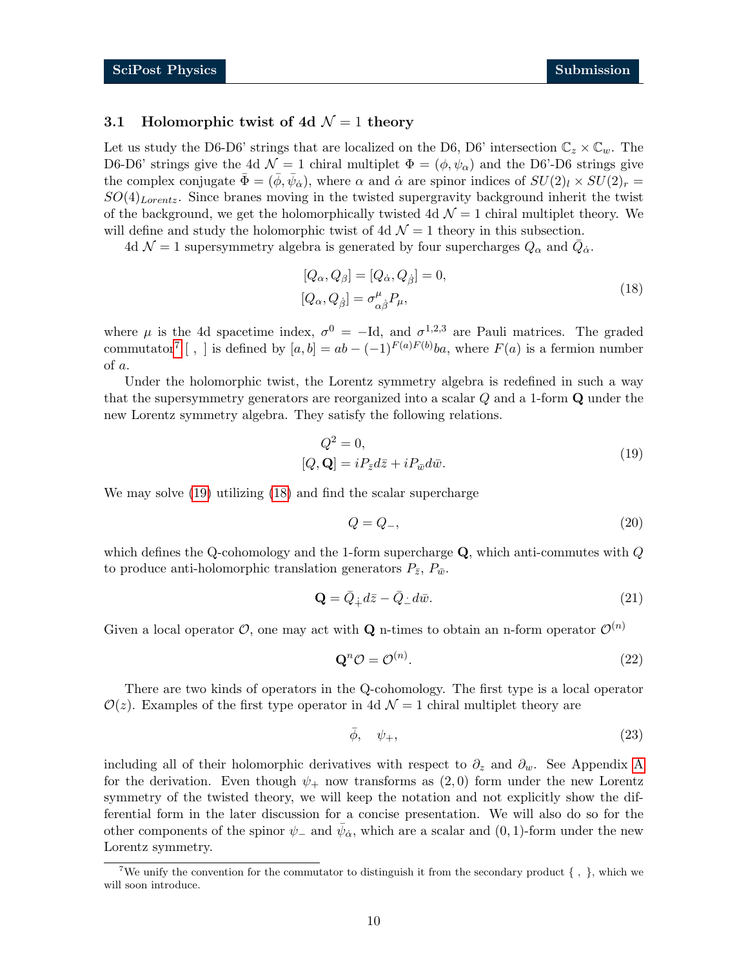#### <span id="page-9-0"></span>3.1 Holomorphic twist of 4d  $\mathcal{N}=1$  theory

Let us study the D6-D6' strings that are localized on the D6, D6' intersection  $\mathbb{C}_z \times \mathbb{C}_w$ . The D6-D6' strings give the 4d  $\mathcal{N} = 1$  chiral multiplet  $\Phi = (\phi, \psi_{\alpha})$  and the D6'-D6 strings give the complex conjugate  $\bar{\Phi} = (\bar{\phi}, \bar{\psi}_{\dot{\alpha}})$ , where  $\alpha$  and  $\dot{\alpha}$  are spinor indices of  $SU(2)_l \times SU(2)_r =$  $SO(4)_{Lorentz}$ . Since branes moving in the twisted supergravity background inherit the twist of the background, we get the holomorphically twisted 4d  $\mathcal{N}=1$  chiral multiplet theory. We will define and study the holomorphic twist of 4d  $\mathcal{N}=1$  theory in this subsection.

4d  $\mathcal{N}=1$  supersymmetry algebra is generated by four supercharges  $Q_{\alpha}$  and  $\bar{Q}_{\dot{\alpha}}$ .

<span id="page-9-3"></span>
$$
[Q_{\alpha}, Q_{\beta}] = [Q_{\dot{\alpha}}, Q_{\dot{\beta}}] = 0,
$$
  

$$
[Q_{\alpha}, Q_{\dot{\beta}}] = \sigma^{\mu}_{\alpha\dot{\beta}} P_{\mu},
$$
\n(18)

where  $\mu$  is the 4d spacetime index,  $\sigma^0 = -Id$ , and  $\sigma^{1,2,3}$  are Pauli matrices. The graded commutator<sup>[7](#page-9-1)</sup> [, ] is defined by  $[a, b] = ab - (-1)^{F(a)F(b)}ba$ , where  $F(a)$  is a fermion number of a.

Under the holomorphic twist, the Lorentz symmetry algebra is redefined in such a way that the supersymmetry generators are reorganized into a scalar Q and a 1-form Q under the new Lorentz symmetry algebra. They satisfy the following relations.

$$
Q^2 = 0,
$$
  
[ $Q, \mathbf{Q}$ ] =  $iP_{\bar{z}}d\bar{z} + iP_{\bar{w}}d\bar{w}.$  (19)

We may solve [\(19\)](#page-9-2) utilizing [\(18\)](#page-9-3) and find the scalar supercharge

<span id="page-9-2"></span>
$$
Q = Q_{-},\tag{20}
$$

which defines the Q-cohomology and the 1-form supercharge  $\bf{Q}$ , which anti-commutes with  $Q$ to produce anti-holomorphic translation generators  $P_{\bar{z}}, P_{\bar{w}}$ .

$$
\mathbf{Q} = \bar{Q}_{\dot{+}} d\bar{z} - \bar{Q}_{\dot{-}} d\bar{w}.\tag{21}
$$

Given a local operator  $\mathcal{O}$ , one may act with **Q** n-times to obtain an n-form operator  $\mathcal{O}^{(n)}$ 

$$
\mathbf{Q}^n \mathcal{O} = \mathcal{O}^{(n)}.\tag{22}
$$

There are two kinds of operators in the Q-cohomology. The first type is a local operator  $\mathcal{O}(z)$ . Examples of the first type operator in 4d  $\mathcal{N}=1$  chiral multiplet theory are

$$
\bar{\phi}, \quad \psi_+, \tag{23}
$$

including all of their holomorphic derivatives with respect to  $\partial_z$  and  $\partial_w$ . See [A](#page-23-0)ppendix A for the derivation. Even though  $\psi_+$  now transforms as  $(2,0)$  form under the new Lorentz symmetry of the twisted theory, we will keep the notation and not explicitly show the differential form in the later discussion for a concise presentation. We will also do so for the other components of the spinor  $\psi_-$  and  $\bar{\psi}_{\dot{\alpha}}$ , which are a scalar and  $(0, 1)$ -form under the new Lorentz symmetry.

<span id="page-9-1"></span><sup>&</sup>lt;sup>7</sup>We unify the convention for the commutator to distinguish it from the secondary product  $\{\ ,\ \}$ , which we will soon introduce.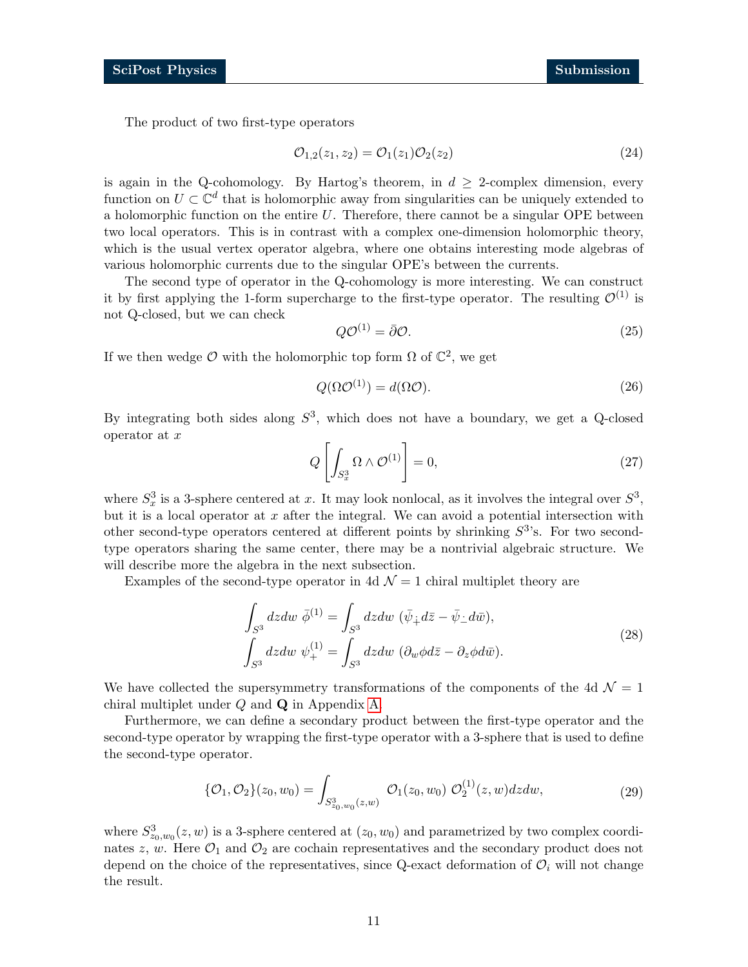The product of two first-type operators

$$
\mathcal{O}_{1,2}(z_1, z_2) = \mathcal{O}_1(z_1)\mathcal{O}_2(z_2) \tag{24}
$$

is again in the Q-cohomology. By Hartog's theorem, in  $d > 2$ -complex dimension, every function on  $U \subset \mathbb{C}^d$  that is holomorphic away from singularities can be uniquely extended to a holomorphic function on the entire  $U$ . Therefore, there cannot be a singular OPE between two local operators. This is in contrast with a complex one-dimension holomorphic theory, which is the usual vertex operator algebra, where one obtains interesting mode algebras of various holomorphic currents due to the singular OPE's between the currents.

The second type of operator in the Q-cohomology is more interesting. We can construct it by first applying the 1-form supercharge to the first-type operator. The resulting  $\mathcal{O}^{(1)}$  is not Q-closed, but we can check

$$
Q\mathcal{O}^{(1)} = \bar{\partial}\mathcal{O}.\tag{25}
$$

If we then wedge  $\mathcal O$  with the holomorphic top form  $\Omega$  of  $\mathbb C^2$ , we get

$$
Q(\Omega \mathcal{O}^{(1)}) = d(\Omega \mathcal{O}).\tag{26}
$$

By integrating both sides along  $S^3$ , which does not have a boundary, we get a Q-closed operator at  $x$ 

$$
Q\left[\int_{S_x^3} \Omega \wedge \mathcal{O}^{(1)}\right] = 0,\tag{27}
$$

where  $S_x^3$  is a 3-sphere centered at x. It may look nonlocal, as it involves the integral over  $S^3$ , but it is a local operator at  $x$  after the integral. We can avoid a potential intersection with other second-type operators centered at different points by shrinking  $S<sup>3</sup>$ 's. For two secondtype operators sharing the same center, there may be a nontrivial algebraic structure. We will describe more the algebra in the next subsection.

Examples of the second-type operator in 4d  $\mathcal{N}=1$  chiral multiplet theory are

$$
\int_{S^3} dzdw \ \bar{\phi}^{(1)} = \int_{S^3} dzdw \ (\bar{\psi}_+ d\bar{z} - \bar{\psi}_- d\bar{w}),
$$
\n
$$
\int_{S^3} dzdw \ \psi_+^{(1)} = \int_{S^3} dzdw \ (\partial_w \phi d\bar{z} - \partial_z \phi d\bar{w}).
$$
\n(28)

We have collected the supersymmetry transformations of the components of the 4d  $\mathcal{N} = 1$ chiral multiplet under Q and Q in Appendix [A.](#page-23-0)

Furthermore, we can define a secondary product between the first-type operator and the second-type operator by wrapping the first-type operator with a 3-sphere that is used to define the second-type operator.

<span id="page-10-0"></span>
$$
\{\mathcal{O}_1, \mathcal{O}_2\}(z_0, w_0) = \int_{S^3_{z_0, w_0}(z, w)} \mathcal{O}_1(z_0, w_0) \mathcal{O}_2^{(1)}(z, w) dz dw, \tag{29}
$$

where  $S_{z_0,w_0}^3(z,w)$  is a 3-sphere centered at  $(z_0,w_0)$  and parametrized by two complex coordinates z, w. Here  $\mathcal{O}_1$  and  $\mathcal{O}_2$  are cochain representatives and the secondary product does not depend on the choice of the representatives, since Q-exact deformation of  $\mathcal{O}_i$  will not change the result.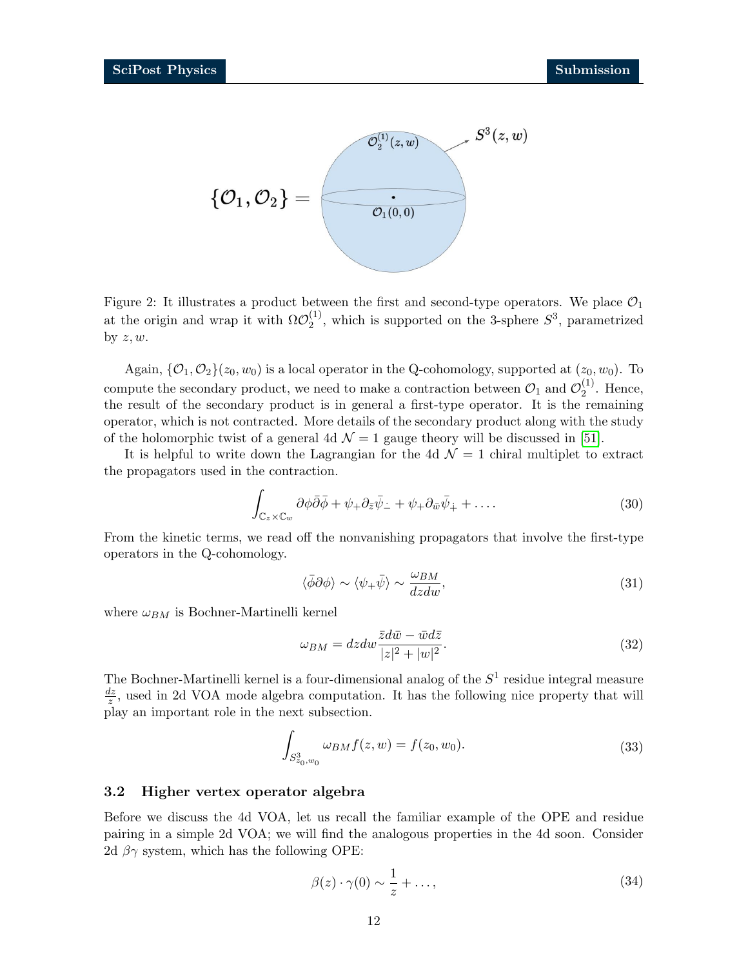

Figure 2: It illustrates a product between the first and second-type operators. We place  $\mathcal{O}_1$ at the origin and wrap it with  $\Omega \mathcal{O}_2^{(1)}$  $2^{(1)}$ , which is supported on the 3-sphere  $S^3$ , parametrized by  $z, w$ .

Again,  $\{\mathcal{O}_1, \mathcal{O}_2\}(z_0, w_0)$  is a local operator in the Q-cohomology, supported at  $(z_0, w_0)$ . To compute the secondary product, we need to make a contraction between  $\mathcal{O}_1$  and  $\mathcal{O}_2^{(1)}$  $2^{(1)}$ . Hence, the result of the secondary product is in general a first-type operator. It is the remaining operator, which is not contracted. More details of the secondary product along with the study of the holomorphic twist of a general 4d  $\mathcal{N}=1$  gauge theory will be discussed in [\[51\]](#page-30-0).

It is helpful to write down the Lagrangian for the 4d  $\mathcal{N}=1$  chiral multiplet to extract the propagators used in the contraction.

<span id="page-11-2"></span>
$$
\int_{\mathbb{C}_z \times \mathbb{C}_w} \partial \phi \bar{\partial} \bar{\phi} + \psi_+ \partial_{\bar{z}} \bar{\psi}_- + \psi_+ \partial_{\bar{w}} \bar{\psi}_+ + \dots \tag{30}
$$

From the kinetic terms, we read off the nonvanishing propagators that involve the first-type operators in the Q-cohomology.

<span id="page-11-1"></span>
$$
\langle \bar{\phi}\partial\phi \rangle \sim \langle \psi_+ \bar{\psi} \rangle \sim \frac{\omega_{BM}}{dzdw},\tag{31}
$$

where  $\omega_{BM}$  is Bochner-Martinelli kernel

$$
\omega_{BM} = dzdw \frac{\bar{z}d\bar{w} - \bar{w}d\bar{z}}{|z|^2 + |w|^2}.
$$
\n(32)

The Bochner-Martinelli kernel is a four-dimensional analog of the  $S<sup>1</sup>$  residue integral measure  $dz$  $\frac{dz}{z}$ , used in 2d VOA mode algebra computation. It has the following nice property that will play an important role in the next subsection.

$$
\int_{S^3_{z_0,w_0}} \omega_{BM} f(z, w) = f(z_0, w_0).
$$
\n(33)

#### <span id="page-11-0"></span>3.2 Higher vertex operator algebra

Before we discuss the 4d VOA, let us recall the familiar example of the OPE and residue pairing in a simple 2d VOA; we will find the analogous properties in the 4d soon. Consider 2d  $\beta\gamma$  system, which has the following OPE:

$$
\beta(z) \cdot \gamma(0) \sim \frac{1}{z} + \dots,\tag{34}
$$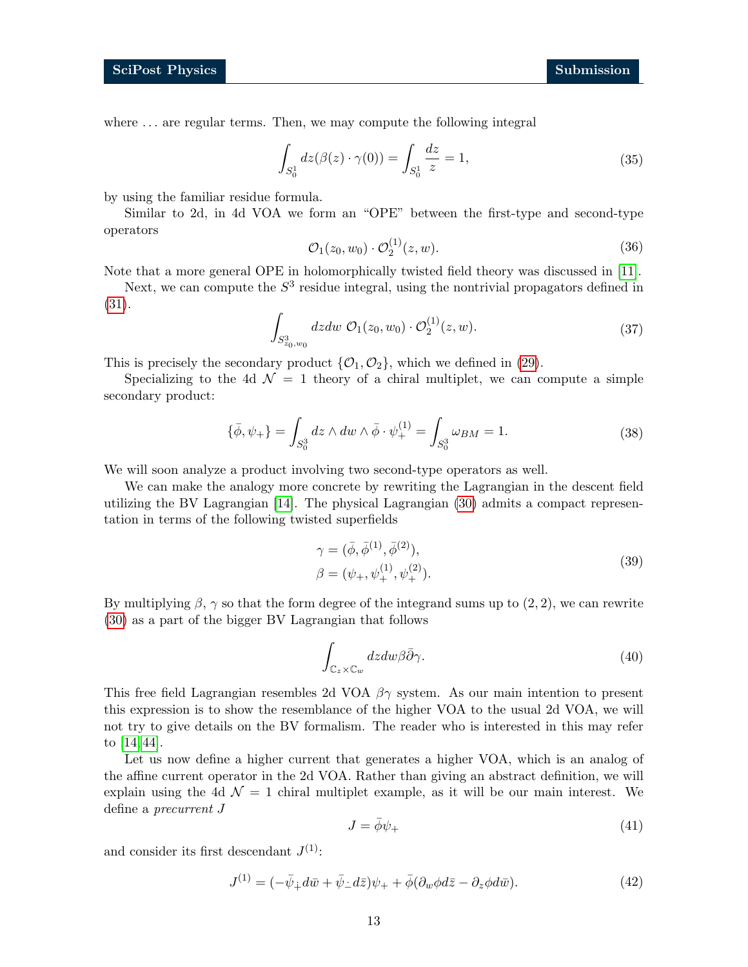where  $\dots$  are regular terms. Then, we may compute the following integral

$$
\int_{S_0^1} dz(\beta(z) \cdot \gamma(0)) = \int_{S_0^1} \frac{dz}{z} = 1,
$$
\n(35)

by using the familiar residue formula.

Similar to 2d, in 4d VOA we form an "OPE" between the first-type and second-type operators

$$
\mathcal{O}_1(z_0, w_0) \cdot \mathcal{O}_2^{(1)}(z, w). \tag{36}
$$

Note that a more general OPE in holomorphically twisted field theory was discussed in [\[11\]](#page-27-9).

Next, we can compute the  $S<sup>3</sup>$  residue integral, using the nontrivial propagators defined in [\(31\)](#page-11-1).

$$
\int_{S^3_{z_0,w_0}} dz dw \; \mathcal{O}_1(z_0,w_0) \cdot \mathcal{O}_2^{(1)}(z,w).
$$
 (37)

This is precisely the secondary product  $\{\mathcal{O}_1, \mathcal{O}_2\}$ , which we defined in [\(29\)](#page-10-0).

Specializing to the 4d  $\mathcal{N} = 1$  theory of a chiral multiplet, we can compute a simple secondary product:

$$
\{\bar{\phi}, \psi_+\} = \int_{S_0^3} dz \wedge dw \wedge \bar{\phi} \cdot \psi_+^{(1)} = \int_{S_0^3} \omega_{BM} = 1.
$$
 (38)

We will soon analyze a product involving two second-type operators as well.

We can make the analogy more concrete by rewriting the Lagrangian in the descent field utilizing the BV Lagrangian [\[14\]](#page-28-0). The physical Lagrangian [\(30\)](#page-11-2) admits a compact representation in terms of the following twisted superfields

$$
\gamma = (\bar{\phi}, \bar{\phi}^{(1)}, \bar{\phi}^{(2)}), \n\beta = (\psi_+, \psi_+^{(1)}, \psi_+^{(2)}).
$$
\n(39)

By multiplying  $\beta$ ,  $\gamma$  so that the form degree of the integrand sums up to (2, 2), we can rewrite [\(30\)](#page-11-2) as a part of the bigger BV Lagrangian that follows

$$
\int_{\mathbb{C}_z \times \mathbb{C}_w} dz dw \beta \bar{\partial} \gamma.
$$
\n(40)

This free field Lagrangian resembles 2d VOA  $\beta\gamma$  system. As our main intention to present this expression is to show the resemblance of the higher VOA to the usual 2d VOA, we will not try to give details on the BV formalism. The reader who is interested in this may refer to [\[14,](#page-28-0) [44\]](#page-29-12).

Let us now define a higher current that generates a higher VOA, which is an analog of the affine current operator in the 2d VOA. Rather than giving an abstract definition, we will explain using the 4d  $\mathcal{N} = 1$  chiral multiplet example, as it will be our main interest. We define a precurrent J

$$
J = \bar{\phi}\psi_+ \tag{41}
$$

and consider its first descendant  $J^{(1)}$ :

$$
J^{(1)} = (-\bar{\psi}_+ d\bar{w} + \bar{\psi}_- d\bar{z})\psi_+ + \bar{\phi}(\partial_w \phi d\bar{z} - \partial_z \phi d\bar{w}).\tag{42}
$$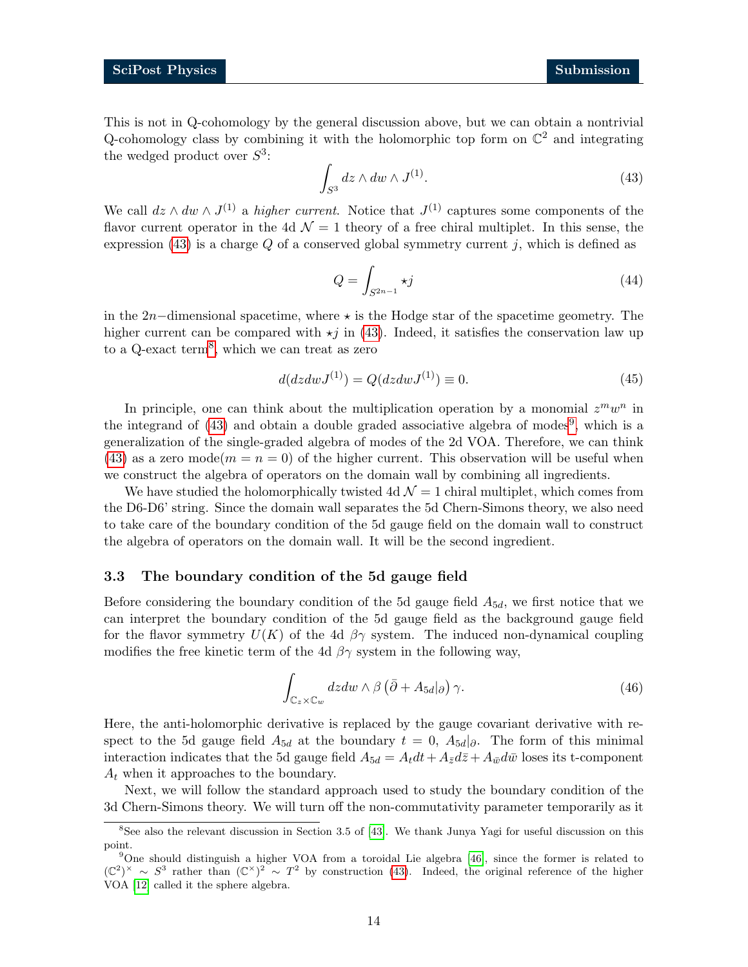This is not in Q-cohomology by the general discussion above, but we can obtain a nontrivial Q-cohomology class by combining it with the holomorphic top form on  $\mathbb{C}^2$  and integrating the wedged product over  $S^3$ :

<span id="page-13-1"></span>
$$
\int_{S^3} dz \wedge dw \wedge J^{(1)}.
$$
\n(43)

We call  $dz \wedge dw \wedge J^{(1)}$  a higher current. Notice that  $J^{(1)}$  captures some components of the flavor current operator in the 4d  $\mathcal{N} = 1$  theory of a free chiral multiplet. In this sense, the expression [\(43\)](#page-13-1) is a charge  $Q$  of a conserved global symmetry current  $j$ , which is defined as

$$
Q = \int_{S^{2n-1}} \star j \tag{44}
$$

in the 2n−dimensional spacetime, where  $\star$  is the Hodge star of the spacetime geometry. The higher current can be compared with  $\star j$  in [\(43\)](#page-13-1). Indeed, it satisfies the conservation law up to a Q-exact term<sup>[8](#page-13-2)</sup>, which we can treat as zero

$$
d(dzdwJ^{(1)}) = Q(dzdwJ^{(1)}) \equiv 0.
$$
\n(45)

In principle, one can think about the multiplication operation by a monomial  $z^m w^n$  in the integrand of  $(43)$  and obtain a double graded associative algebra of modes<sup>[9](#page-13-3)</sup>, which is a generalization of the single-graded algebra of modes of the 2d VOA. Therefore, we can think [\(43\)](#page-13-1) as a zero mode $(m = n = 0)$  of the higher current. This observation will be useful when we construct the algebra of operators on the domain wall by combining all ingredients.

We have studied the holomorphically twisted 4d  $\mathcal{N}=1$  chiral multiplet, which comes from the D6-D6' string. Since the domain wall separates the 5d Chern-Simons theory, we also need to take care of the boundary condition of the 5d gauge field on the domain wall to construct the algebra of operators on the domain wall. It will be the second ingredient.

#### <span id="page-13-0"></span>3.3 The boundary condition of the 5d gauge field

Before considering the boundary condition of the 5d gauge field  $A_{5d}$ , we first notice that we can interpret the boundary condition of the 5d gauge field as the background gauge field for the flavor symmetry  $U(K)$  of the 4d  $\beta\gamma$  system. The induced non-dynamical coupling modifies the free kinetic term of the 4d  $\beta\gamma$  system in the following way,

$$
\int_{\mathbb{C}_z \times \mathbb{C}_w} dzdw \wedge \beta \left(\bar{\partial} + A_{5d}|\partial\right) \gamma.
$$
\n(46)

Here, the anti-holomorphic derivative is replaced by the gauge covariant derivative with respect to the 5d gauge field  $A_{5d}$  at the boundary  $t = 0$ ,  $A_{5d}$ . The form of this minimal interaction indicates that the 5d gauge field  $A_{5d} = A_t dt + A_{\bar{z}} d\bar{z} + A_{\bar{w}} d\bar{w}$  loses its t-component  $A_t$  when it approaches to the boundary.

Next, we will follow the standard approach used to study the boundary condition of the 3d Chern-Simons theory. We will turn off the non-commutativity parameter temporarily as it

<span id="page-13-2"></span><sup>8</sup>See also the relevant discussion in Section 3.5 of [\[43\]](#page-29-13). We thank Junya Yagi for useful discussion on this point.

<span id="page-13-3"></span><sup>&</sup>lt;sup>9</sup>One should distinguish a higher VOA from a toroidal Lie algebra [\[46\]](#page-30-1), since the former is related to  $(\mathbb{C}^2)^{\times} \sim S^3$  rather than  $(\mathbb{C}^{\times})^2 \sim T^2$  by construction [\(43\)](#page-13-1). Indeed, the original reference of the higher VOA [\[12\]](#page-27-10) called it the sphere algebra.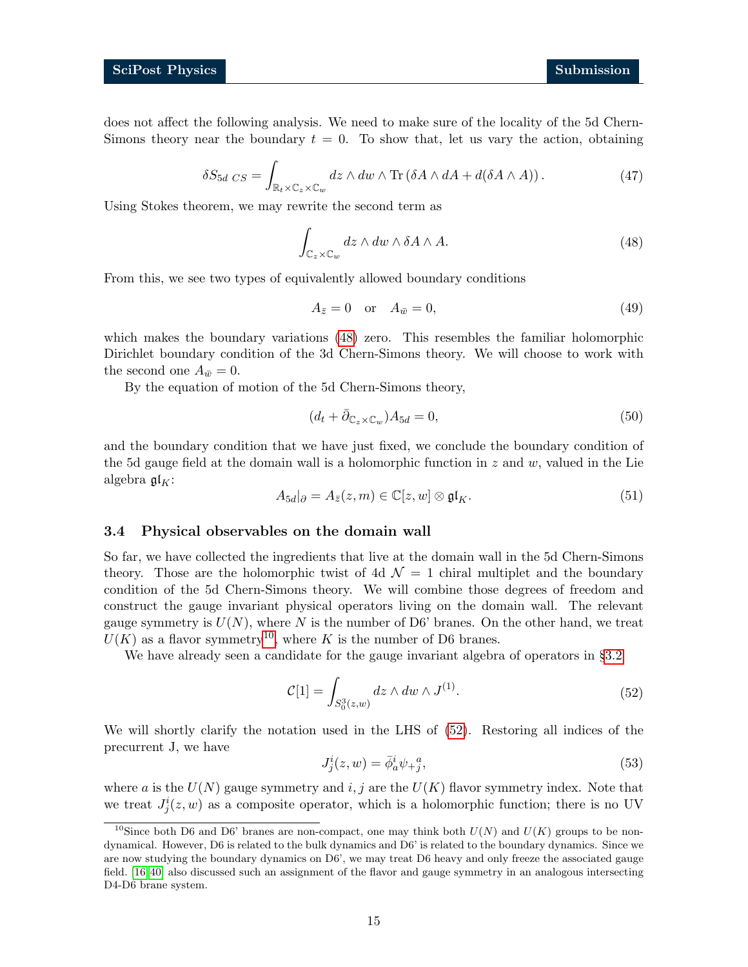does not affect the following analysis. We need to make sure of the locality of the 5d Chern-Simons theory near the boundary  $t = 0$ . To show that, let us vary the action, obtaining

$$
\delta S_{5d \; CS} = \int_{\mathbb{R}_t \times \mathbb{C}_z \times \mathbb{C}_w} dz \wedge dw \wedge \text{Tr} \left( \delta A \wedge dA + d(\delta A \wedge A) \right). \tag{47}
$$

Using Stokes theorem, we may rewrite the second term as

<span id="page-14-1"></span>
$$
\int_{\mathbb{C}_z \times \mathbb{C}_w} dz \wedge dw \wedge \delta A \wedge A. \tag{48}
$$

From this, we see two types of equivalently allowed boundary conditions

$$
A_{\bar{z}} = 0 \quad \text{or} \quad A_{\bar{w}} = 0,\tag{49}
$$

which makes the boundary variations [\(48\)](#page-14-1) zero. This resembles the familiar holomorphic Dirichlet boundary condition of the 3d Chern-Simons theory. We will choose to work with the second one  $A_{\bar{w}} = 0$ .

By the equation of motion of the 5d Chern-Simons theory,

$$
(d_t + \bar{\partial}_{\mathbb{C}_z \times \mathbb{C}_w})A_{5d} = 0,\t\t(50)
$$

and the boundary condition that we have just fixed, we conclude the boundary condition of the 5d gauge field at the domain wall is a holomorphic function in  $z$  and  $w$ , valued in the Lie algebra  $\mathfrak{gl}_K$ :

$$
A_{5d}|\partial = A_{\bar{z}}(z,m) \in \mathbb{C}[z,w] \otimes \mathfrak{gl}_K.
$$
\n
$$
(51)
$$

#### <span id="page-14-0"></span>3.4 Physical observables on the domain wall

So far, we have collected the ingredients that live at the domain wall in the 5d Chern-Simons theory. Those are the holomorphic twist of 4d  $\mathcal{N}=1$  chiral multiplet and the boundary condition of the 5d Chern-Simons theory. We will combine those degrees of freedom and construct the gauge invariant physical operators living on the domain wall. The relevant gauge symmetry is  $U(N)$ , where N is the number of D6' branes. On the other hand, we treat  $U(K)$  as a flavor symmetry<sup>[10](#page-14-2)</sup>, where K is the number of D6 branes.

We have already seen a candidate for the gauge invariant algebra of operators in §[3.2](#page-11-0)

<span id="page-14-4"></span>
$$
\mathcal{C}[1] = \int_{S_0^3(z,w)} dz \wedge dw \wedge J^{(1)}.\tag{52}
$$

We will shortly clarify the notation used in the LHS of [\(52\)](#page-14-3). Restoring all indices of the precurrent J, we have

<span id="page-14-3"></span>
$$
J_j^i(z, w) = \bar{\phi}_a^i \psi_+^a,
$$
\n<sup>(53)</sup>

where a is the  $U(N)$  gauge symmetry and i, j are the  $U(K)$  flavor symmetry index. Note that we treat  $J_j^i(z, w)$  as a composite operator, which is a holomorphic function; there is no UV

<span id="page-14-2"></span><sup>&</sup>lt;sup>10</sup>Since both D6 and D6' branes are non-compact, one may think both  $U(N)$  and  $U(K)$  groups to be nondynamical. However, D6 is related to the bulk dynamics and D6' is related to the boundary dynamics. Since we are now studying the boundary dynamics on D6', we may treat D6 heavy and only freeze the associated gauge field. [\[16,](#page-28-2) [40\]](#page-29-15) also discussed such an assignment of the flavor and gauge symmetry in an analogous intersecting D4-D6 brane system.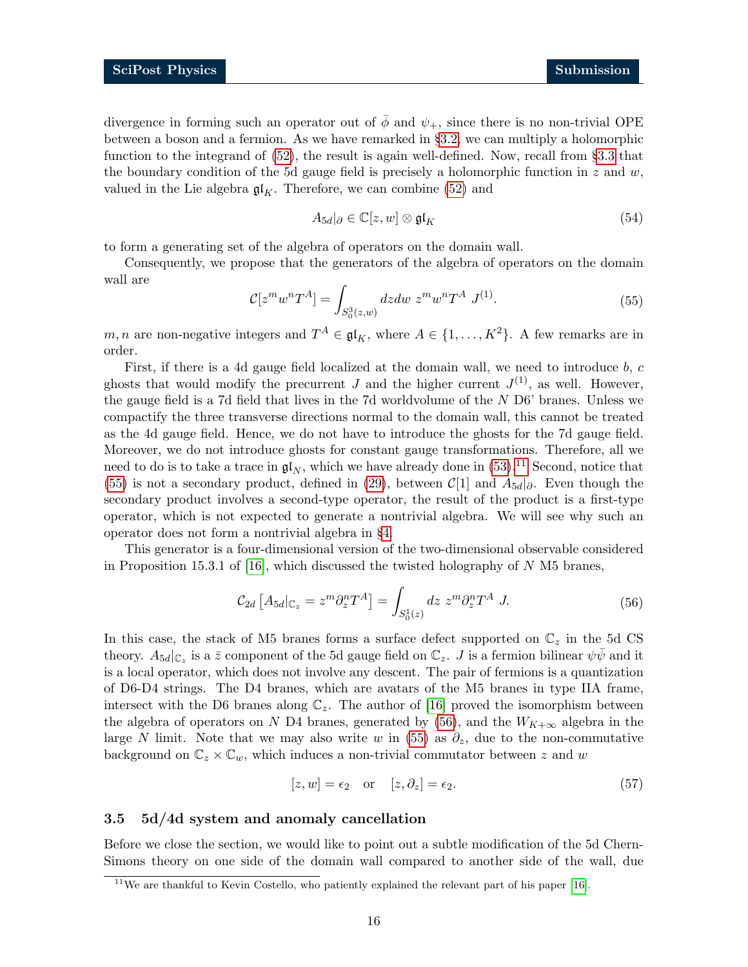divergence in forming such an operator out of  $\bar{\phi}$  and  $\psi_{+}$ , since there is no non-trivial OPE between a boson and a fermion. As we have remarked in §[3.2,](#page-11-0) we can multiply a holomorphic function to the integrand of [\(52\)](#page-14-3), the result is again well-defined. Now, recall from §[3.3](#page-13-0) that the boundary condition of the 5d gauge field is precisely a holomorphic function in  $z$  and  $w$ , valued in the Lie algebra  $\mathfrak{gl}_K$ . Therefore, we can combine [\(52\)](#page-14-3) and

$$
A_{5d}|\partial \in \mathbb{C}[z,w] \otimes \mathfrak{gl}_K \tag{54}
$$

to form a generating set of the algebra of operators on the domain wall.

<span id="page-15-2"></span>Consequently, we propose that the generators of the algebra of operators on the domain wall are

$$
\mathcal{C}[z^m w^n T^A] = \int_{S_0^3(z,w)} dz dw \ z^m w^n T^A \ J^{(1)}.
$$
 (55)

m, n are non-negative integers and  $T^A \in \mathfrak{gl}_K$ , where  $A \in \{1, ..., K^2\}$ . A few remarks are in order.

First, if there is a 4d gauge field localized at the domain wall, we need to introduce b, c ghosts that would modify the precurrent J and the higher current  $J^{(1)}$ , as well. However, the gauge field is a 7d field that lives in the 7d worldvolume of the N D6' branes. Unless we compactify the three transverse directions normal to the domain wall, this cannot be treated as the 4d gauge field. Hence, we do not have to introduce the ghosts for the 7d gauge field. Moreover, we do not introduce ghosts for constant gauge transformations. Therefore, all we need to do is to take a trace in  $\mathfrak{gl}_N$ , which we have already done in [\(53\)](#page-14-4).<sup>[11](#page-15-1)</sup> Second, notice that [\(55\)](#page-15-2) is not a secondary product, defined in [\(29\)](#page-10-0), between  $\mathcal{C}[1]$  and  $A_{5d}|_{\partial}$ . Even though the secondary product involves a second-type operator, the result of the product is a first-type operator, which is not expected to generate a nontrivial algebra. We will see why such an operator does not form a nontrivial algebra in §[4.](#page-17-0)

This generator is a four-dimensional version of the two-dimensional observable considered in Proposition 15.3.1 of [\[16\]](#page-28-2), which discussed the twisted holography of  $N$  M5 branes,

<span id="page-15-3"></span>
$$
\mathcal{C}_{2d} \left[ A_{5d} \middle| \mathbb{C}_z = z^m \partial_z^n T^A \right] = \int_{S_0^1(z)} dz \ z^m \partial_z^n T^A \ J. \tag{56}
$$

In this case, the stack of M5 branes forms a surface defect supported on  $\mathbb{C}_z$  in the 5d CS theory.  $A_{5d}|_{\mathbb{C}_z}$  is a  $\bar{z}$  component of the 5d gauge field on  $\mathbb{C}_z$ . J is a fermion bilinear  $\psi\bar{\psi}$  and it is a local operator, which does not involve any descent. The pair of fermions is a quantization of D6-D4 strings. The D4 branes, which are avatars of the M5 branes in type IIA frame, intersect with the D6 branes along  $\mathbb{C}_z$ . The author of [\[16\]](#page-28-2) proved the isomorphism between the algebra of operators on N D4 branes, generated by [\(56\)](#page-15-3), and the  $W_{K+\infty}$  algebra in the large N limit. Note that we may also write w in [\(55\)](#page-15-2) as  $\partial_z$ , due to the non-commutative background on  $\mathbb{C}_z \times \mathbb{C}_w$ , which induces a non-trivial commutator between z and w

$$
[z, w] = \epsilon_2 \quad \text{or} \quad [z, \partial_z] = \epsilon_2. \tag{57}
$$

#### <span id="page-15-0"></span>3.5 5d/4d system and anomaly cancellation

Before we close the section, we would like to point out a subtle modification of the 5d Chern-Simons theory on one side of the domain wall compared to another side of the wall, due

<span id="page-15-1"></span><sup>&</sup>lt;sup>11</sup>We are thankful to Kevin Costello, who patiently explained the relevant part of his paper  $[16]$ .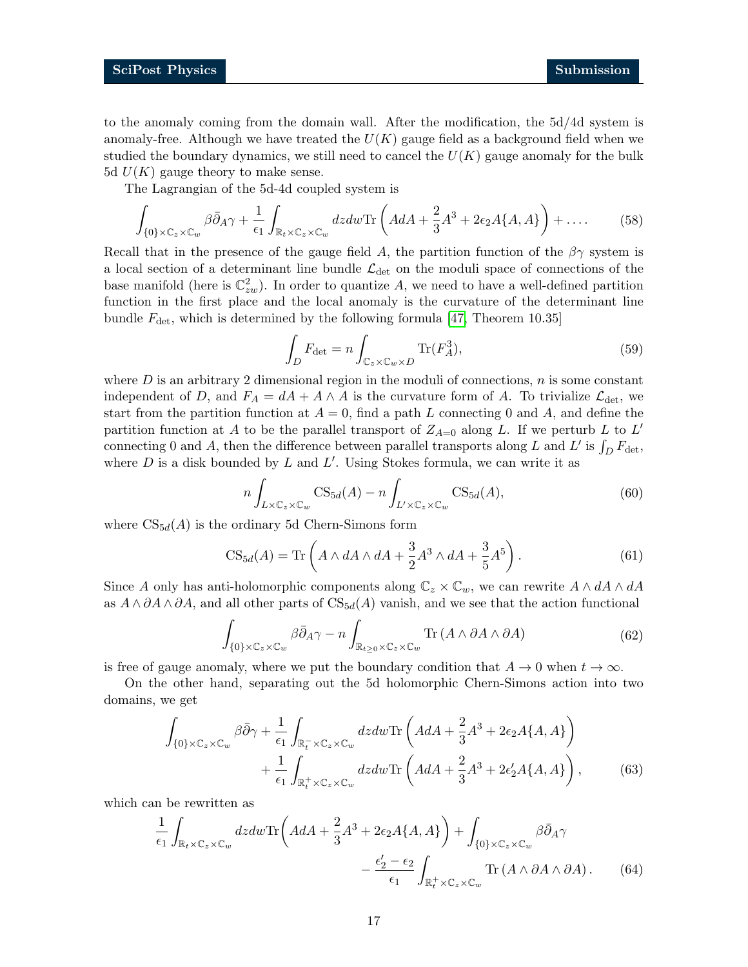to the anomaly coming from the domain wall. After the modification, the 5d/4d system is anomaly-free. Although we have treated the  $U(K)$  gauge field as a background field when we studied the boundary dynamics, we still need to cancel the  $U(K)$  gauge anomaly for the bulk 5d  $U(K)$  gauge theory to make sense.

The Lagrangian of the 5d-4d coupled system is

$$
\int_{\{0\}\times\mathbb{C}_z\times\mathbb{C}_w} \beta \bar{\partial}_A \gamma + \frac{1}{\epsilon_1} \int_{\mathbb{R}_t\times\mathbb{C}_z\times\mathbb{C}_w} dz dw \text{Tr}\left( A dA + \frac{2}{3} A^3 + 2\epsilon_2 A \{A, A\} \right) + \dots \tag{58}
$$

Recall that in the presence of the gauge field A, the partition function of the  $\beta\gamma$  system is a local section of a determinant line bundle  $\mathcal{L}_{\text{det}}$  on the moduli space of connections of the base manifold (here is  $\mathbb{C}_{zw}^2$ ). In order to quantize A, we need to have a well-defined partition function in the first place and the local anomaly is the curvature of the determinant line bundle  $F_{\text{det}}$ , which is determined by the following formula [\[47,](#page-30-2) Theorem 10.35]

$$
\int_{D} F_{\det} = n \int_{\mathbb{C}_z \times \mathbb{C}_w \times D} \text{Tr}(F_A^3),\tag{59}
$$

where  $D$  is an arbitrary 2 dimensional region in the moduli of connections,  $n$  is some constant independent of D, and  $F_A = dA + A \wedge A$  is the curvature form of A. To trivialize  $\mathcal{L}_{\text{det}}$ , we start from the partition function at  $A = 0$ , find a path L connecting 0 and A, and define the partition function at A to be the parallel transport of  $Z_{A=0}$  along L. If we perturb L to L' connecting 0 and A, then the difference between parallel transports along L and L' is  $\int_D F_{\rm det}$ , where  $D$  is a disk bounded by  $L$  and  $L'$ . Using Stokes formula, we can write it as

$$
n\int_{L\times\mathbb{C}_z\times\mathbb{C}_w} \text{CS}_{5d}(A) - n\int_{L'\times\mathbb{C}_z\times\mathbb{C}_w} \text{CS}_{5d}(A),\tag{60}
$$

where  $CS_{5d}(A)$  is the ordinary 5d Chern-Simons form

$$
CS_{5d}(A) = \text{Tr}\left(A \wedge dA \wedge dA + \frac{3}{2}A^3 \wedge dA + \frac{3}{5}A^5\right). \tag{61}
$$

Since A only has anti-holomorphic components along  $\mathbb{C}_z \times \mathbb{C}_w$ , we can rewrite  $A \wedge dA \wedge dA$ as  $A \wedge \partial A \wedge \partial A$ , and all other parts of  $CS_{5d}(A)$  vanish, and we see that the action functional

$$
\int_{\{0\}\times\mathbb{C}_z\times\mathbb{C}_w} \beta \bar{\partial}_A \gamma - n \int_{\mathbb{R}_{t\geq 0}\times\mathbb{C}_z\times\mathbb{C}_w} \text{Tr}\left(A \wedge \partial A \wedge \partial A\right) \tag{62}
$$

is free of gauge anomaly, where we put the boundary condition that  $A \to 0$  when  $t \to \infty$ .

On the other hand, separating out the 5d holomorphic Chern-Simons action into two domains, we get

$$
\int_{\{0\}\times\mathbb{C}_z\times\mathbb{C}_w} \beta\bar{\partial}\gamma + \frac{1}{\epsilon_1} \int_{\mathbb{R}_t^-\times\mathbb{C}_z\times\mathbb{C}_w} dzdw \text{Tr}\left(AdA + \frac{2}{3}A^3 + 2\epsilon_2 A\{A, A\}\right) + \frac{1}{\epsilon_1} \int_{\mathbb{R}_t^+\times\mathbb{C}_z\times\mathbb{C}_w} dzdw \text{Tr}\left(AdA + \frac{2}{3}A^3 + 2\epsilon_2 A\{A, A\}\right),
$$
(63)

which can be rewritten as

$$
\frac{1}{\epsilon_1} \int_{\mathbb{R}_t \times \mathbb{C}_z \times \mathbb{C}_w} dzdw \text{Tr}\left( AdA + \frac{2}{3}A^3 + 2\epsilon_2 A\{A, A\} \right) + \int_{\{0\} \times \mathbb{C}_z \times \mathbb{C}_w} \beta \bar{\partial}_A \gamma \n- \frac{\epsilon_2' - \epsilon_2}{\epsilon_1} \int_{\mathbb{R}_t^+ \times \mathbb{C}_z \times \mathbb{C}_w} \text{Tr}\left( A \wedge \partial A \wedge \partial A \right).
$$
\n(64)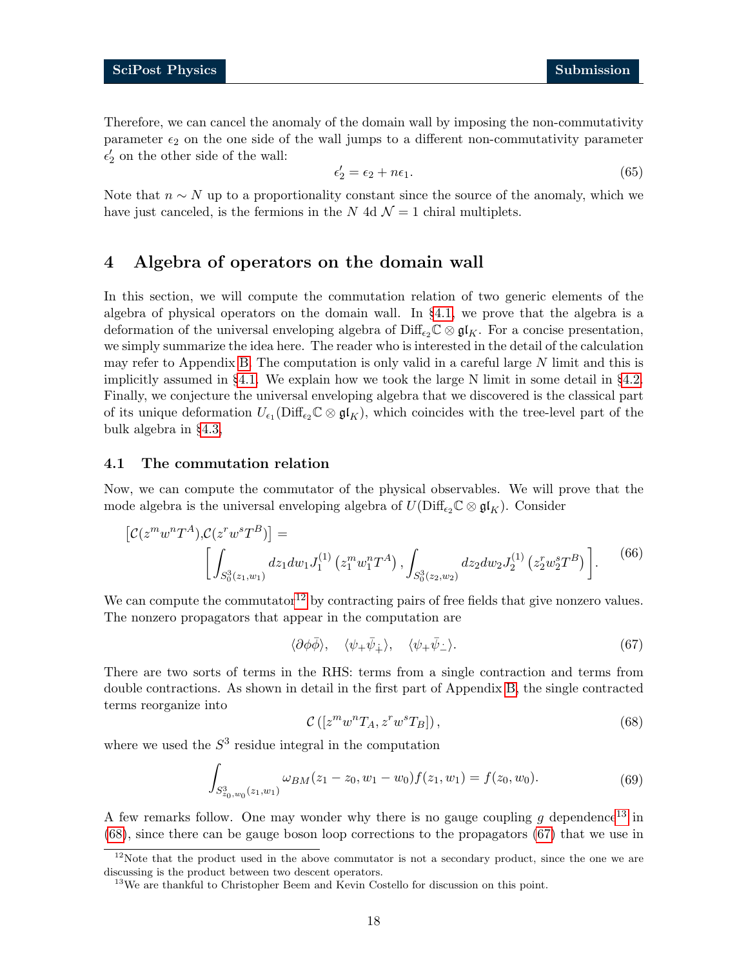Therefore, we can cancel the anomaly of the domain wall by imposing the non-commutativity parameter  $\epsilon_2$  on the one side of the wall jumps to a different non-commutativity parameter  $\epsilon_2'$  on the other side of the wall:

$$
\epsilon_2' = \epsilon_2 + n\epsilon_1. \tag{65}
$$

Note that  $n \sim N$  up to a proportionality constant since the source of the anomaly, which we have just canceled, is the fermions in the N 4d  $\mathcal{N}=1$  chiral multiplets.

## <span id="page-17-0"></span>4 Algebra of operators on the domain wall

In this section, we will compute the commutation relation of two generic elements of the algebra of physical operators on the domain wall. In §[4.1,](#page-17-1) we prove that the algebra is a deformation of the universal enveloping algebra of  $\text{Diff}_{\epsilon_2}\mathbb{C}\otimes\mathfrak{gl}_K$ . For a concise presentation, we simply summarize the idea here. The reader who is interested in the detail of the calculation may refer to Appendix [B.](#page-23-1) The computation is only valid in a careful large N limit and this is implicitly assumed in  $\S 4.1$ . We explain how we took the large N limit in some detail in  $\S 4.2$ . Finally, we conjecture the universal enveloping algebra that we discovered is the classical part of its unique deformation  $U_{\epsilon_1}(\text{Diff}_{\epsilon_2}\mathbb{C}\otimes\mathfrak{gl}_K)$ , which coincides with the tree-level part of the bulk algebra in §[4.3,](#page-19-1)

#### <span id="page-17-1"></span>4.1 The commutation relation

Now, we can compute the commutator of the physical observables. We will prove that the mode algebra is the universal enveloping algebra of  $U(\text{Diff}_{\epsilon_2}\mathbb{C}\otimes\mathfrak{gl}_K)$ . Consider

$$
\left[\mathcal{C}(z^m w^n T^A), \mathcal{C}(z^r w^s T^B)\right] = \left[\int_{S_0^3(z_1, w_1)} dz_1 dw_1 J_1^{(1)}\left(z_1^m w_1^n T^A\right), \int_{S_0^3(z_2, w_2)} dz_2 dw_2 J_2^{(1)}\left(z_2^r w_2^s T^B\right)\right].
$$
\n(66)

We can compute the commutator<sup>[12](#page-17-2)</sup> by contracting pairs of free fields that give nonzero values. The nonzero propagators that appear in the computation are

<span id="page-17-6"></span><span id="page-17-5"></span>
$$
\langle \partial \phi \bar{\phi} \rangle, \quad \langle \psi_+ \bar{\psi}_+ \rangle, \quad \langle \psi_+ \bar{\psi}_- \rangle. \tag{67}
$$

There are two sorts of terms in the RHS: terms from a single contraction and terms from double contractions. As shown in detail in the first part of Appendix [B,](#page-23-1) the single contracted terms reorganize into

$$
\mathcal{C}\left([z^m w^n T_A, z^r w^s T_B]\right),\tag{68}
$$

where we used the  $S<sup>3</sup>$  residue integral in the computation

<span id="page-17-4"></span>
$$
\int_{S^3_{z_0,w_0}(z_1,w_1)} \omega_{BM}(z_1-z_0,w_1-w_0) f(z_1,w_1) = f(z_0,w_0). \tag{69}
$$

A few remarks follow. One may wonder why there is no gauge coupling g dependence<sup>[13](#page-17-3)</sup> in [\(68\)](#page-17-4), since there can be gauge boson loop corrections to the propagators [\(67\)](#page-17-5) that we use in

<span id="page-17-2"></span><sup>&</sup>lt;sup>12</sup>Note that the product used in the above commutator is not a secondary product, since the one we are discussing is the product between two descent operators.

<span id="page-17-3"></span><sup>&</sup>lt;sup>13</sup>We are thankful to Christopher Beem and Kevin Costello for discussion on this point.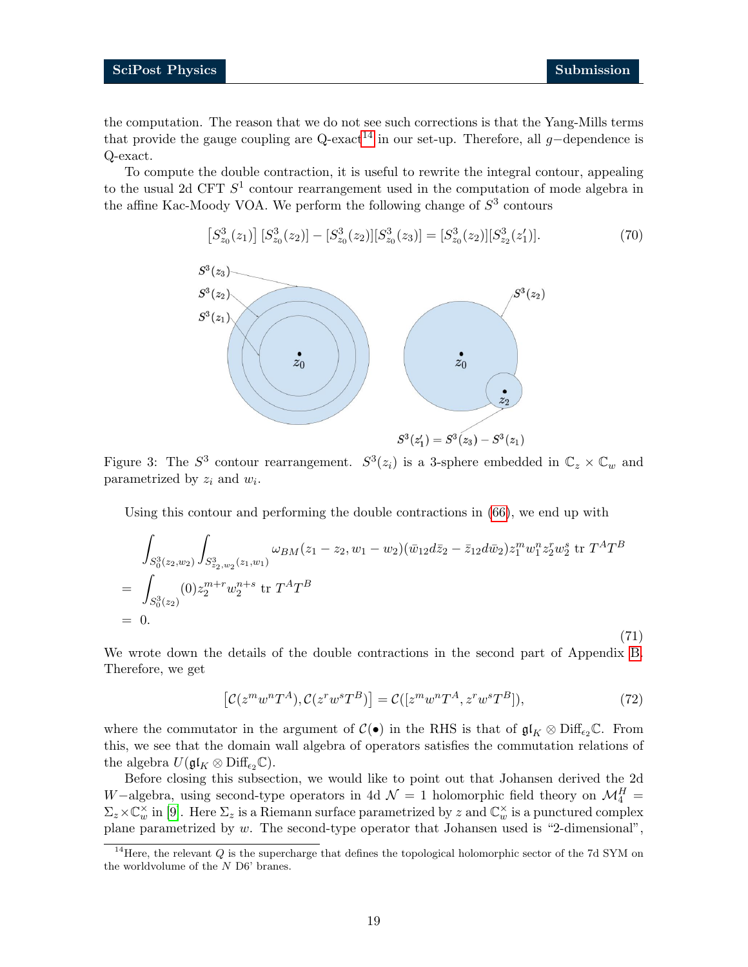<span id="page-18-2"></span>(71)

the computation. The reason that we do not see such corrections is that the Yang-Mills terms that provide the gauge coupling are Q-exact<sup>[14](#page-18-0)</sup> in our set-up. Therefore, all g-dependence is Q-exact.

To compute the double contraction, it is useful to rewrite the integral contour, appealing to the usual 2d CFT  $S^1$  contour rearrangement used in the computation of mode algebra in the affine Kac-Moody VOA. We perform the following change of  $S<sup>3</sup>$  contours

$$
\[S_{z_0}^3(z_1)\] \,[S_{z_0}^3(z_2)] - [S_{z_0}^3(z_2)][S_{z_0}^3(z_3)] = [S_{z_0}^3(z_2)][S_{z_2}^3(z_1')].\tag{70}
$$



Figure 3: The  $S^3$  contour rearrangement.  $S^3(z_i)$  is a 3-sphere embedded in  $\mathbb{C}_z \times \mathbb{C}_w$  and parametrized by  $z_i$  and  $w_i$ .

Using this contour and performing the double contractions in [\(66\)](#page-17-6), we end up with

$$
\int_{S_0^3(z_2,w_2)} \int_{S_{z_2,w_2}^3(z_1,w_1)} \omega_{BM}(z_1-z_2,w_1-w_2) (\bar{w}_{12} d\bar{z}_2 - \bar{z}_{12} d\bar{w}_2) z_1^m w_1^n z_2^r w_2^s \text{ tr } T^A T^B
$$
\n
$$
= \int_{S_0^3(z_2)} (0) z_2^{m+r} w_2^{n+s} \text{ tr } T^A T^B
$$
\n
$$
= 0.
$$

We wrote down the details of the double contractions in the second part of Appendix [B.](#page-23-1) Therefore, we get

<span id="page-18-1"></span>
$$
[\mathcal{C}(z^m w^n T^A), \mathcal{C}(z^r w^s T^B)] = \mathcal{C}([z^m w^n T^A, z^r w^s T^B]),\tag{72}
$$

where the commutator in the argument of  $\mathcal{C}(\bullet)$  in the RHS is that of  $\mathfrak{gl}_K \otimes \mathrm{Diff}_{\epsilon_2}\mathbb{C}$ . From this, we see that the domain wall algebra of operators satisfies the commutation relations of the algebra  $U(\mathfrak{gl}_K \otimes \mathrm{Diff}_{\epsilon_2}\mathbb{C}).$ 

Before closing this subsection, we would like to point out that Johansen derived the 2d W−algebra, using second-type operators in 4d  $\mathcal{N}=1$  holomorphic field theory on  $\mathcal{M}_{4}^{H}$  =  $\Sigma_z \times \mathbb{C}_w^{\times}$  in [\[9\]](#page-27-11). Here  $\Sigma_z$  is a Riemann surface parametrized by z and  $\mathbb{C}_w^{\times}$  is a punctured complex plane parametrized by  $w$ . The second-type operator that Johansen used is "2-dimensional",

<span id="page-18-0"></span><sup>&</sup>lt;sup>14</sup>Here, the relevant  $Q$  is the supercharge that defines the topological holomorphic sector of the 7d SYM on the worldvolume of the  $N$  D6' branes.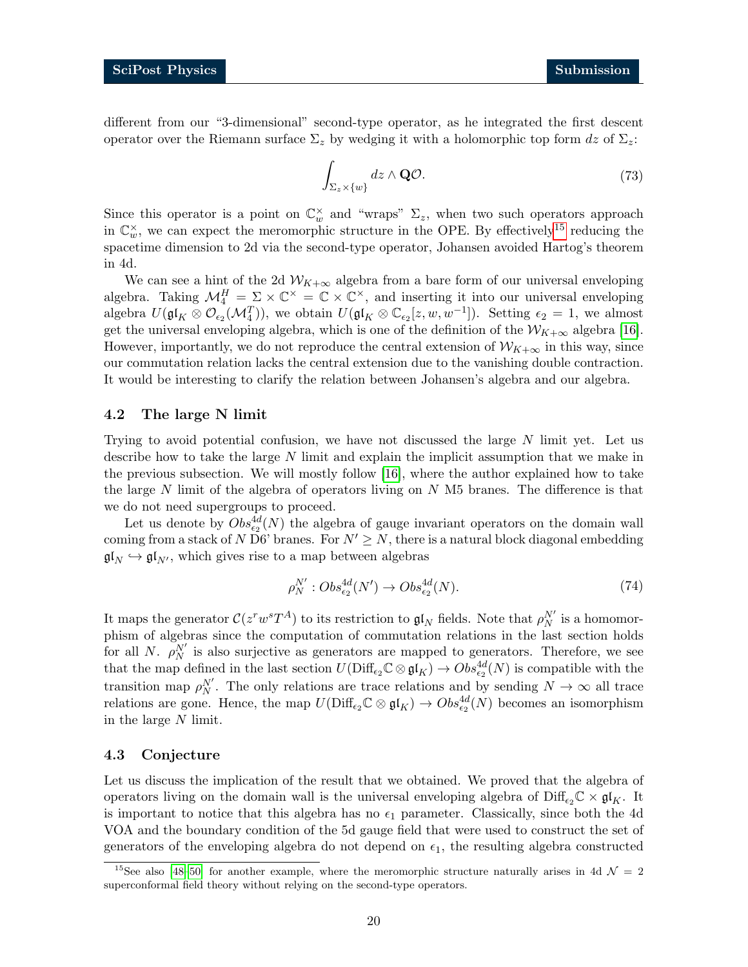different from our "3-dimensional" second-type operator, as he integrated the first descent operator over the Riemann surface  $\Sigma_z$  by wedging it with a holomorphic top form dz of  $\Sigma_z$ :

$$
\int_{\Sigma_z \times \{w\}} dz \wedge \mathbf{Q} \mathcal{O}.\tag{73}
$$

Since this operator is a point on  $\mathbb{C}_w^{\times}$  and "wraps"  $\Sigma_z$ , when two such operators approach in  $\mathbb{C}_w^{\times}$ , we can expect the meromorphic structure in the OPE. By effectively<sup>[15](#page-19-2)</sup> reducing the spacetime dimension to 2d via the second-type operator, Johansen avoided Hartog's theorem in 4d.

We can see a hint of the 2d  $W_{K+\infty}$  algebra from a bare form of our universal enveloping algebra. Taking  $\mathcal{M}_4^H = \Sigma \times \mathbb{C}^\times = \mathbb{C} \times \mathbb{C}^\times$ , and inserting it into our universal enveloping algebra  $U(\mathfrak{gl}_K \otimes \mathcal{O}_{\epsilon_2}(\mathcal{M}_4^T))$ , we obtain  $U(\mathfrak{gl}_K \otimes \mathbb{C}_{\epsilon_2}[z,w,w^{-1}])$ . Setting  $\epsilon_2 = 1$ , we almost get the universal enveloping algebra, which is one of the definition of the  $W_{K+\infty}$  algebra [\[16\]](#page-28-2). However, importantly, we do not reproduce the central extension of  $\mathcal{W}_{K+\infty}$  in this way, since our commutation relation lacks the central extension due to the vanishing double contraction. It would be interesting to clarify the relation between Johansen's algebra and our algebra.

#### <span id="page-19-0"></span>4.2 The large N limit

Trying to avoid potential confusion, we have not discussed the large  $N$  limit yet. Let us describe how to take the large N limit and explain the implicit assumption that we make in the previous subsection. We will mostly follow [\[16\]](#page-28-2), where the author explained how to take the large  $N$  limit of the algebra of operators living on  $N$  M5 branes. The difference is that we do not need supergroups to proceed.

Let us denote by  $Obs_{\epsilon_2}^{4d}(N)$  the algebra of gauge invariant operators on the domain wall coming from a stack of N D6' branes. For  $N' \geq N$ , there is a natural block diagonal embedding  $\mathfrak{gl}_N \hookrightarrow \mathfrak{gl}_{N'}$ , which gives rise to a map between algebras

$$
\rho_N^{N'}: Obs_{\epsilon_2}^{4d}(N') \to Obs_{\epsilon_2}^{4d}(N). \tag{74}
$$

It maps the generator  $C(z^rw^sT^A)$  to its restriction to  $\mathfrak{gl}_N$  fields. Note that  $\rho_N^{N'}$  is a homomorphism of algebras since the computation of commutation relations in the last section holds for all N.  $\rho_N^{N'}$  is also surjective as generators are mapped to generators. Therefore, we see that the map defined in the last section  $U(\text{Diff}_{\epsilon_2}\mathbb{C}\otimes\mathfrak{gl}_K) \to Obs_{\epsilon_2}^{4d}(N)$  is compatible with the transition map  $\rho_N^{N'}$ . The only relations are trace relations and by sending  $N \to \infty$  all trace relations are gone. Hence, the map  $U(\text{Diff}_{\epsilon_2}\mathbb{C}\otimes\mathfrak{gl}_K)\to Obs_{\epsilon_2}^{4d}(N)$  becomes an isomorphism in the large N limit.

#### <span id="page-19-1"></span>4.3 Conjecture

Let us discuss the implication of the result that we obtained. We proved that the algebra of operators living on the domain wall is the universal enveloping algebra of  $\text{Diff}_{\epsilon_2}\mathbb{C} \times \mathfrak{gl}_K$ . It is important to notice that this algebra has no  $\epsilon_1$  parameter. Classically, since both the 4d VOA and the boundary condition of the 5d gauge field that were used to construct the set of generators of the enveloping algebra do not depend on  $\epsilon_1$ , the resulting algebra constructed

<span id="page-19-2"></span><sup>&</sup>lt;sup>15</sup>See also [\[48–](#page-30-3)[50\]](#page-30-4) for another example, where the meromorphic structure naturally arises in 4d  $\mathcal{N}=2$ superconformal field theory without relying on the second-type operators.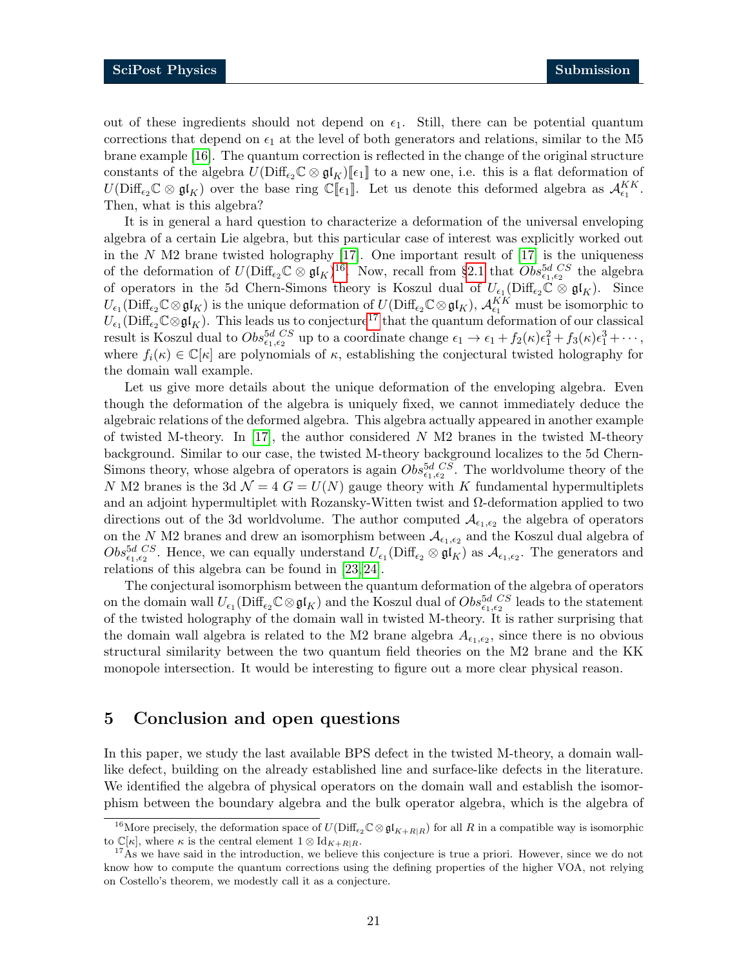out of these ingredients should not depend on  $\epsilon_1$ . Still, there can be potential quantum corrections that depend on  $\epsilon_1$  at the level of both generators and relations, similar to the M5 brane example [\[16\]](#page-28-2). The quantum correction is reflected in the change of the original structure constants of the algebra  $U(\text{Diff}_{\epsilon_2}\mathbb{C}\otimes \mathfrak{gl}_K)[\![\epsilon_1]\!]$  to a new one, i.e. this is a flat deformation of  $U(\text{Diff}_{\epsilon_2}\mathbb{C}\otimes \mathfrak{gl}_K)$  over the base ring  $\mathbb{C}[\![\epsilon_1]\!]$ . Let us denote this deformed algebra as  $\mathcal{A}_{\epsilon_1}^{KK}$ . Then, what is this algebra?

It is in general a hard question to characterize a deformation of the universal enveloping algebra of a certain Lie algebra, but this particular case of interest was explicitly worked out in the  $N$  M2 brane twisted holography [\[17\]](#page-28-3). One important result of [17] is the uniqueness of the deformation of  $U(\text{Diff}_{\epsilon_2}\mathbb{C}\otimes \mathfrak{gl}_K)^{16}$  $U(\text{Diff}_{\epsilon_2}\mathbb{C}\otimes \mathfrak{gl}_K)^{16}$  $U(\text{Diff}_{\epsilon_2}\mathbb{C}\otimes \mathfrak{gl}_K)^{16}$ . Now, recall from §[2.1](#page-3-1) that  $Obs_{\epsilon_1,\epsilon_2}^{5d}$  cs the algebra of operators in the 5d Chern-Simons theory is Koszul dual of  $U_{\epsilon_1}(\text{Diff}_{\epsilon_2}\mathbb{C} \otimes \mathfrak{gl}_K)$ . Since  $U_{\epsilon_1}(\text{Diff}_{\epsilon_2}\mathbb{C}\otimes\mathfrak{gl}_K)$  is the unique deformation of  $U(\text{Diff}_{\epsilon_2}\mathbb{C}\otimes\mathfrak{gl}_K)$ ,  $\mathcal{A}_{\epsilon_1}^{KK}$  must be isomorphic to  $U_{\epsilon_1}(\text{Diff}_{\epsilon_2}\mathbb{C}\otimes\mathfrak{gl}_K)$ . This leads us to conjecture<sup>[17](#page-20-2)</sup> that the quantum deformation of our classical result is Koszul dual to  $Obs_{\epsilon_1,\epsilon_2}^{5d\;CS}$  up to a coordinate change  $\epsilon_1 \to \epsilon_1 + f_2(\kappa)\epsilon_1^2 + f_3(\kappa)\epsilon_1^3 + \cdots$ , where  $f_i(\kappa) \in \mathbb{C}[\kappa]$  are polynomials of  $\kappa$ , establishing the conjectural twisted holography for the domain wall example.

Let us give more details about the unique deformation of the enveloping algebra. Even though the deformation of the algebra is uniquely fixed, we cannot immediately deduce the algebraic relations of the deformed algebra. This algebra actually appeared in another example of twisted M-theory. In [\[17\]](#page-28-3), the author considered  $N$  M2 branes in the twisted M-theory background. Similar to our case, the twisted M-theory background localizes to the 5d Chern-Simons theory, whose algebra of operators is again  $Obs_{\epsilon_1,\epsilon_2}^{5d\;\;CS}$ . The worldvolume theory of the N M2 branes is the 3d  $\mathcal{N} = 4$  G =  $U(N)$  gauge theory with K fundamental hypermultiplets and an adjoint hypermultiplet with Rozansky-Witten twist and  $\Omega$ -deformation applied to two directions out of the 3d worldvolume. The author computed  $\mathcal{A}_{\epsilon_1,\epsilon_2}$  the algebra of operators on the N M2 branes and drew an isomorphism between  $\mathcal{A}_{\epsilon_1,\epsilon_2}$  and the Koszul dual algebra of  $Obs_{\epsilon_1,\epsilon_2}^{5d\;CS}$ . Hence, we can equally understand  $U_{\epsilon_1}(\text{Diff}_{\epsilon_2}\otimes \mathfrak{gl}_K)$  as  $\mathcal{A}_{\epsilon_1,\epsilon_2}$ . The generators and relations of this algebra can be found in [\[23,](#page-28-13) [24\]](#page-28-7).

The conjectural isomorphism between the quantum deformation of the algebra of operators on the domain wall  $U_{\epsilon_1}(\text{Diff}_{\epsilon_2}\mathbb{C}\otimes\mathfrak{gl}_K)$  and the Koszul dual of  $Obs_{\epsilon_1,\epsilon_2}^{5d\;CS}$  leads to the statement of the twisted holography of the domain wall in twisted M-theory. It is rather surprising that the domain wall algebra is related to the M2 brane algebra  $A_{\epsilon_1,\epsilon_2}$ , since there is no obvious structural similarity between the two quantum field theories on the M2 brane and the KK monopole intersection. It would be interesting to figure out a more clear physical reason.

### <span id="page-20-0"></span>5 Conclusion and open questions

In this paper, we study the last available BPS defect in the twisted M-theory, a domain walllike defect, building on the already established line and surface-like defects in the literature. We identified the algebra of physical operators on the domain wall and establish the isomorphism between the boundary algebra and the bulk operator algebra, which is the algebra of

<span id="page-20-1"></span><sup>&</sup>lt;sup>16</sup>More precisely, the deformation space of  $U(\text{Diff}_{\epsilon_2}\mathbb{C}\otimes\mathfrak{gl}_{K+R|R})$  for all R in a compatible way is isomorphic to  $\mathbb{C}[\kappa]$ , where  $\kappa$  is the central element  $1 \otimes \mathrm{Id}_{K+R|R}$ .

<span id="page-20-2"></span><sup>&</sup>lt;sup>17</sup>As we have said in the introduction, we believe this conjecture is true a priori. However, since we do not know how to compute the quantum corrections using the defining properties of the higher VOA, not relying on Costello's theorem, we modestly call it as a conjecture.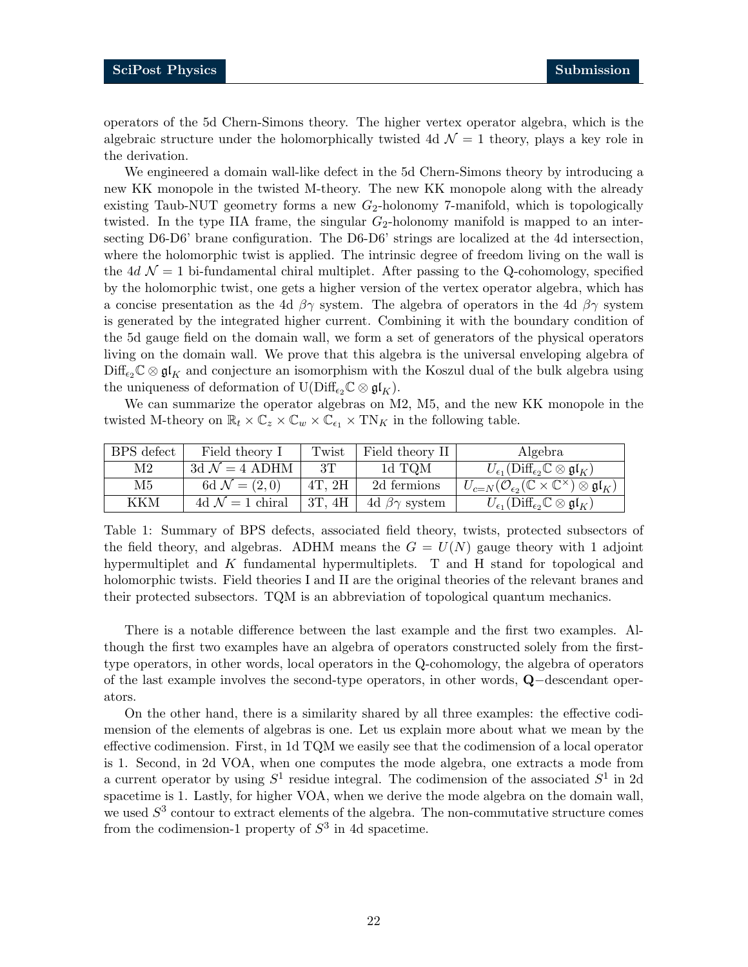operators of the 5d Chern-Simons theory. The higher vertex operator algebra, which is the algebraic structure under the holomorphically twisted 4d  $\mathcal{N} = 1$  theory, plays a key role in the derivation.

We engineered a domain wall-like defect in the 5d Chern-Simons theory by introducing a new KK monopole in the twisted M-theory. The new KK monopole along with the already existing Taub-NUT geometry forms a new  $G_2$ -holonomy 7-manifold, which is topologically twisted. In the type IIA frame, the singular  $G_2$ -holonomy manifold is mapped to an intersecting D6-D6' brane configuration. The D6-D6' strings are localized at the 4d intersection, where the holomorphic twist is applied. The intrinsic degree of freedom living on the wall is the 4d  $\mathcal{N} = 1$  bi-fundamental chiral multiplet. After passing to the Q-cohomology, specified by the holomorphic twist, one gets a higher version of the vertex operator algebra, which has a concise presentation as the 4d  $\beta\gamma$  system. The algebra of operators in the 4d  $\beta\gamma$  system is generated by the integrated higher current. Combining it with the boundary condition of the 5d gauge field on the domain wall, we form a set of generators of the physical operators living on the domain wall. We prove that this algebra is the universal enveloping algebra of  $\text{Diff}_{\epsilon_2}\mathbb{C}\otimes\mathfrak{gl}_K$  and conjecture an isomorphism with the Koszul dual of the bulk algebra using the uniqueness of deformation of  $U(\text{Diff}_{\epsilon_2}\mathbb{C}\otimes\mathfrak{gl}_K)$ .

We can summarize the operator algebras on M2, M5, and the new KK monopole in the twisted M-theory on  $\mathbb{R}_t \times \mathbb{C}_z \times \mathbb{C}_w \times \mathbb{C}_{\epsilon_1} \times \mathrm{TN}_K$  in the following table.

| BPS defect | Field theory I            | Twist       | $\vert$ Field theory II                | Algebra                                                                                         |
|------------|---------------------------|-------------|----------------------------------------|-------------------------------------------------------------------------------------------------|
| $\rm M2$   | 3d $\mathcal{N}=4$ ADHM   | 3T          | 1d TQM                                 | $U_{\epsilon_1}(\text{Diff}_{\epsilon_2}\mathbb{C}\otimes \mathfrak{gl}_K)$                     |
| M5         | 6d $\mathcal{N} = (2,0)$  | $4T$ , $2H$ | 2d fermions                            | $U_{c=N}(\mathcal{O}_{\epsilon_2}(\mathbb{C}\times\mathbb{C}^{\times})\otimes \mathfrak{gl}_K)$ |
| KKM        | 4d $\mathcal{N}=1$ chiral |             | 3T, 4H $\vert$ 4d $\beta\gamma$ system | $U_{\epsilon_1}(\text{Diff}_{\epsilon_2}\mathbb{C}\otimes\mathfrak{gl}_K)$                      |

Table 1: Summary of BPS defects, associated field theory, twists, protected subsectors of the field theory, and algebras. ADHM means the  $G = U(N)$  gauge theory with 1 adjoint hypermultiplet and K fundamental hypermultiplets. T and H stand for topological and holomorphic twists. Field theories I and II are the original theories of the relevant branes and their protected subsectors. TQM is an abbreviation of topological quantum mechanics.

There is a notable difference between the last example and the first two examples. Although the first two examples have an algebra of operators constructed solely from the firsttype operators, in other words, local operators in the Q-cohomology, the algebra of operators of the last example involves the second-type operators, in other words, Q−descendant operators.

On the other hand, there is a similarity shared by all three examples: the effective codimension of the elements of algebras is one. Let us explain more about what we mean by the effective codimension. First, in 1d TQM we easily see that the codimension of a local operator is 1. Second, in 2d VOA, when one computes the mode algebra, one extracts a mode from a current operator by using  $S^1$  residue integral. The codimension of the associated  $S^1$  in 2d spacetime is 1. Lastly, for higher VOA, when we derive the mode algebra on the domain wall, we used  $S<sup>3</sup>$  contour to extract elements of the algebra. The non-commutative structure comes from the codimension-1 property of  $S<sup>3</sup>$  in 4d spacetime.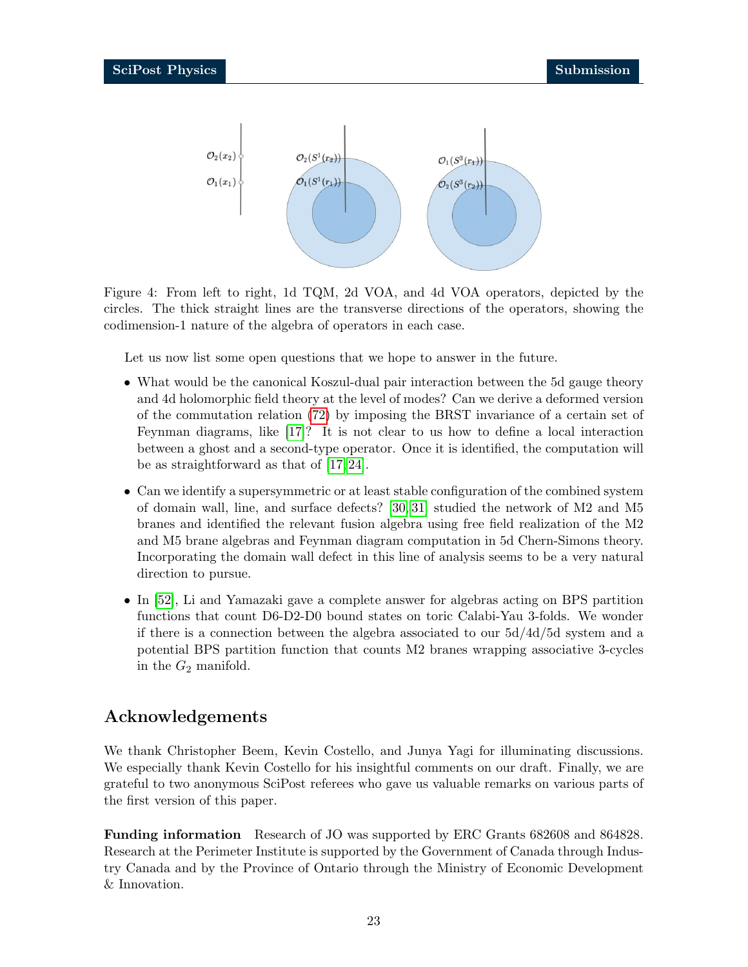<span id="page-22-0"></span>

Figure 4: From left to right, 1d TQM, 2d VOA, and 4d VOA operators, depicted by the circles. The thick straight lines are the transverse directions of the operators, showing the codimension-1 nature of the algebra of operators in each case.

Let us now list some open questions that we hope to answer in the future.

- What would be the canonical Koszul-dual pair interaction between the 5d gauge theory and 4d holomorphic field theory at the level of modes? Can we derive a deformed version of the commutation relation [\(72\)](#page-18-1) by imposing the BRST invariance of a certain set of Feynman diagrams, like [\[17\]](#page-28-3)? It is not clear to us how to define a local interaction between a ghost and a second-type operator. Once it is identified, the computation will be as straightforward as that of [\[17,](#page-28-3) [24\]](#page-28-7).
- Can we identify a supersymmetric or at least stable configuration of the combined system of domain wall, line, and surface defects? [\[30,](#page-29-0) [31\]](#page-29-1) studied the network of M2 and M5 branes and identified the relevant fusion algebra using free field realization of the M2 and M5 brane algebras and Feynman diagram computation in 5d Chern-Simons theory. Incorporating the domain wall defect in this line of analysis seems to be a very natural direction to pursue.
- In [\[52\]](#page-30-5), Li and Yamazaki gave a complete answer for algebras acting on BPS partition functions that count D6-D2-D0 bound states on toric Calabi-Yau 3-folds. We wonder if there is a connection between the algebra associated to our 5d/4d/5d system and a potential BPS partition function that counts M2 branes wrapping associative 3-cycles in the  $G_2$  manifold.

# Acknowledgements

We thank Christopher Beem, Kevin Costello, and Junya Yagi for illuminating discussions. We especially thank Kevin Costello for his insightful comments on our draft. Finally, we are grateful to two anonymous SciPost referees who gave us valuable remarks on various parts of the first version of this paper.

Funding information Research of JO was supported by ERC Grants 682608 and 864828. Research at the Perimeter Institute is supported by the Government of Canada through Industry Canada and by the Province of Ontario through the Ministry of Economic Development & Innovation.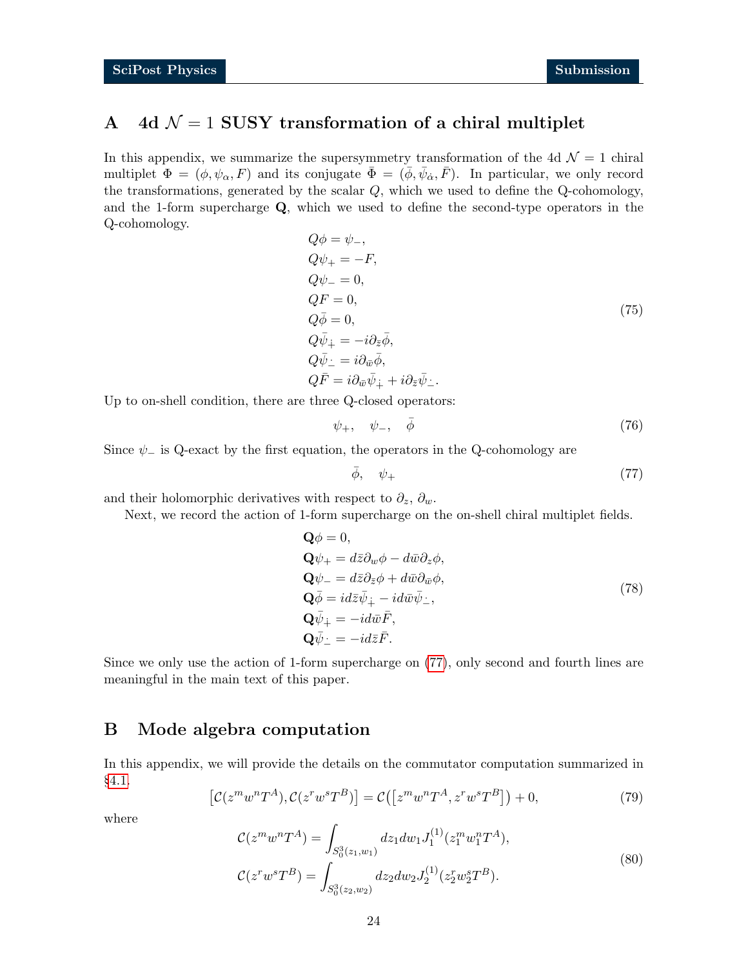# <span id="page-23-0"></span>A 4d  $\mathcal{N} = 1$  SUSY transformation of a chiral multiplet

In this appendix, we summarize the supersymmetry transformation of the 4d  $\mathcal{N}=1$  chiral multiplet  $\Phi = (\phi, \psi_\alpha, F)$  and its conjugate  $\bar{\Phi} = (\bar{\phi}, \bar{\psi}_\alpha, \bar{F})$ . In particular, we only record the transformations, generated by the scalar Q, which we used to define the Q-cohomology, and the 1-form supercharge  $Q$ , which we used to define the second-type operators in the Q-cohomology.

$$
Q\phi = \psi_-,
$$
  
\n
$$
Q\psi_+ = -F,
$$
  
\n
$$
Q\psi_- = 0,
$$
  
\n
$$
Q\bar{F} = 0,
$$
  
\n
$$
Q\bar{\psi}_+ = -i\partial_{\bar{z}}\bar{\phi},
$$
  
\n
$$
Q\bar{\psi}_- = i\partial_{\bar{w}}\bar{\phi},
$$
  
\n
$$
Q\bar{F} = i\partial_{\bar{w}}\bar{\psi}_+ + i\partial_{\bar{z}}\bar{\psi}_-.
$$
\n(75)

Up to on-shell condition, there are three Q-closed operators:

$$
\psi_+,\quad \psi_-,\quad \bar{\phi}\tag{76}
$$

Since  $\psi$ <sub>-</sub> is Q-exact by the first equation, the operators in the Q-cohomology are

<span id="page-23-2"></span>
$$
\bar{\phi}, \quad \psi_+ \tag{77}
$$

and their holomorphic derivatives with respect to  $\partial_z$ ,  $\partial_w$ .

Next, we record the action of 1-form supercharge on the on-shell chiral multiplet fields.

$$
\begin{aligned}\n\mathbf{Q}\phi &= 0, \\
\mathbf{Q}\psi_{+} &= d\bar{z}\partial_{w}\phi - d\bar{w}\partial_{z}\phi, \\
\mathbf{Q}\psi_{-} &= d\bar{z}\partial_{\bar{z}}\phi + d\bar{w}\partial_{\bar{w}}\phi, \\
\mathbf{Q}\bar{\phi} &= id\bar{z}\bar{\psi}_{\dot{+}} - id\bar{w}\bar{\psi}_{\dot{-}}, \\
\mathbf{Q}\bar{\psi}_{+} &= -id\bar{w}\bar{F}, \\
\mathbf{Q}\bar{\psi}_{-} &= -id\bar{z}\bar{F}.\n\end{aligned}
$$
\n(78)

Since we only use the action of 1-form supercharge on [\(77\)](#page-23-2), only second and fourth lines are meaningful in the main text of this paper.

# <span id="page-23-1"></span>B Mode algebra computation

<span id="page-23-3"></span>In this appendix, we will provide the details on the commutator computation summarized in §[4.1.](#page-17-1)

$$
\left[\mathcal{C}(z^m w^n T^A), \mathcal{C}(z^r w^s T^B)\right] = \mathcal{C}\left(\left[z^m w^n T^A, z^r w^s T^B\right]\right) + 0,\tag{79}
$$

where

$$
\mathcal{C}(z^m w^n T^A) = \int_{S_0^3(z_1, w_1)} dz_1 dw_1 J_1^{(1)}(z_1^m w_1^n T^A),
$$
  

$$
\mathcal{C}(z^r w^s T^B) = \int_{S_0^3(z_2, w_2)} dz_2 dw_2 J_2^{(1)}(z_2^r w_2^s T^B).
$$
 (80)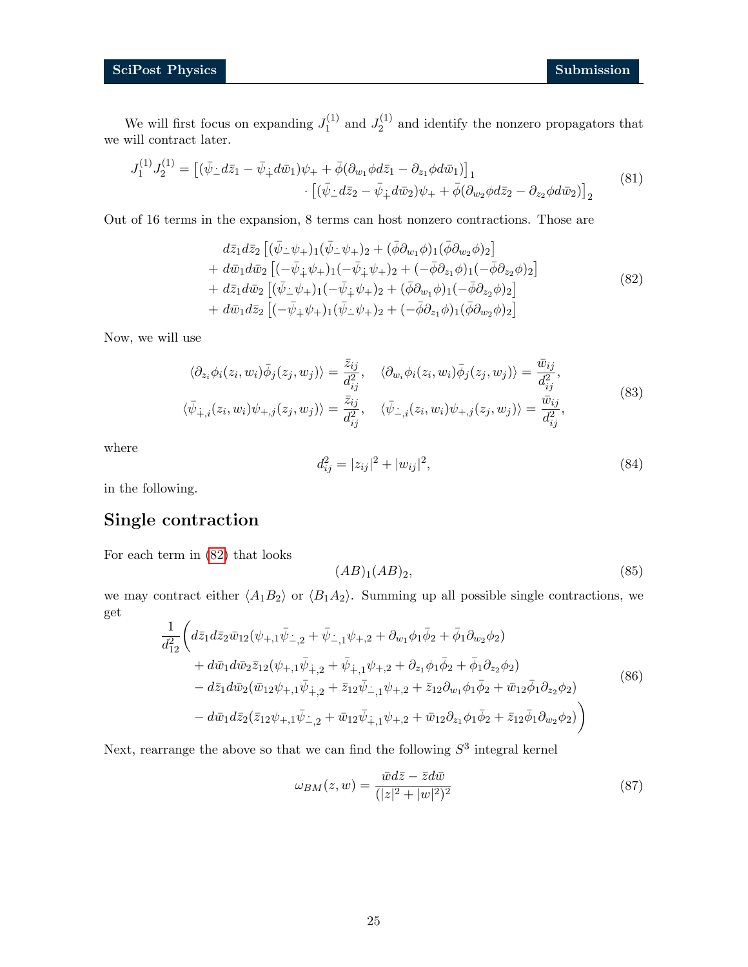We will first focus on expanding  $J_1^{(1)}$  $J_1^{(1)}$  and  $J_2^{(1)}$  $2^{(1)}$  and identify the nonzero propagators that we will contract later.

$$
J_1^{(1)}J_2^{(1)} = \left[ (\bar{\psi}_\perp d\bar{z}_1 - \bar{\psi}_\perp d\bar{w}_1) \psi_+ + \bar{\phi} (\partial_{w_1} \phi d\bar{z}_1 - \partial_{z_1} \phi d\bar{w}_1) \right]_1 \cdot \left[ (\bar{\psi}_\perp d\bar{z}_2 - \bar{\psi}_\perp d\bar{w}_2) \psi_+ + \bar{\phi} (\partial_{w_2} \phi d\bar{z}_2 - \partial_{z_2} \phi d\bar{w}_2) \right]_2
$$
\n(81)

Out of 16 terms in the expansion, 8 terms can host nonzero contractions. Those are

$$
d\bar{z}_{1}d\bar{z}_{2}\left[ (\bar{\psi}_{-}\psi_{+})_{1}(\bar{\psi}_{-}\psi_{+})_{2} + (\bar{\phi}\partial_{w_{1}}\phi)_{1}(\bar{\phi}\partial_{w_{2}}\phi)_{2}\right] + d\bar{w}_{1}d\bar{w}_{2}\left[ (-\bar{\psi}_{+}\psi_{+})_{1}(-\bar{\psi}_{+}\psi_{+})_{2} + (-\bar{\phi}\partial_{z_{1}}\phi)_{1}(-\bar{\phi}\partial_{z_{2}}\phi)_{2}\right] + d\bar{z}_{1}d\bar{w}_{2}\left[ (\bar{\psi}_{-}\psi_{+})_{1}(-\bar{\psi}_{+}\psi_{+})_{2} + (\bar{\phi}\partial_{w_{1}}\phi)_{1}(-\bar{\phi}\partial_{z_{2}}\phi)_{2}\right] + d\bar{w}_{1}d\bar{z}_{2}\left[ (-\bar{\psi}_{+}\psi_{+})_{1}(\bar{\psi}_{-}\psi_{+})_{2} + (-\bar{\phi}\partial_{z_{1}}\phi)_{1}(\bar{\phi}\partial_{w_{2}}\phi)_{2}\right]
$$
(82)

Now, we will use

$$
\langle \partial_{z_i} \phi_i(z_i, w_i) \bar{\phi}_j(z_j, w_j) \rangle = \frac{\bar{z}_{ij}}{d_{ij}^2}, \quad \langle \partial_{w_i} \phi_i(z_i, w_i) \bar{\phi}_j(z_j, w_j) \rangle = \frac{\bar{w}_{ij}}{d_{ij}^2},
$$
  

$$
\langle \bar{\psi}_{+,i}(z_i, w_i) \psi_{+,j}(z_j, w_j) \rangle = \frac{\bar{z}_{ij}}{d_{ij}^2}, \quad \langle \bar{\psi}_{-,i}(z_i, w_i) \psi_{+,j}(z_j, w_j) \rangle = \frac{\bar{w}_{ij}}{d_{ij}^2},
$$
\n(83)

where

<span id="page-24-0"></span>
$$
d_{ij}^2 = |z_{ij}|^2 + |w_{ij}|^2,\t\t(84)
$$

in the following.

# Single contraction

For each term in [\(82\)](#page-24-0) that looks

$$
(AB)_1 (AB)_2,\t\t(85)
$$

we may contract either  $\langle A_1B_2 \rangle$  or  $\langle B_1A_2 \rangle$ . Summing up all possible single contractions, we get

$$
\frac{1}{d_{12}^{2}} \left( d\bar{z}_{1} d\bar{z}_{2} \bar{w}_{12} (\psi_{+,1} \bar{\psi}_{-,2} + \bar{\psi}_{-,1} \psi_{+,2} + \partial_{w_{1}} \phi_{1} \bar{\phi}_{2} + \bar{\phi}_{1} \partial_{w_{2}} \phi_{2}) \right.\n+ d\bar{w}_{1} d\bar{w}_{2} \bar{z}_{12} (\psi_{+,1} \bar{\psi}_{+,2} + \bar{\psi}_{+,1} \psi_{+,2} + \partial_{z_{1}} \phi_{1} \bar{\phi}_{2} + \bar{\phi}_{1} \partial_{z_{2}} \phi_{2})\n- d\bar{z}_{1} d\bar{w}_{2} (\bar{w}_{12} \psi_{+,1} \bar{\psi}_{+,2} + \bar{z}_{12} \bar{\psi}_{-,1} \psi_{+,2} + \bar{z}_{12} \partial_{w_{1}} \phi_{1} \bar{\phi}_{2} + \bar{w}_{12} \bar{\phi}_{1} \partial_{z_{2}} \phi_{2})\n- d\bar{w}_{1} d\bar{z}_{2} (\bar{z}_{12} \psi_{+,1} \bar{\psi}_{-,2} + \bar{w}_{12} \bar{\psi}_{+,1} \psi_{+,2} + \bar{w}_{12} \partial_{z_{1}} \phi_{1} \bar{\phi}_{2} + \bar{z}_{12} \bar{\phi}_{1} \partial_{w_{2}} \phi_{2}) \right)
$$
\n(86)

Next, rearrange the above so that we can find the following  $S<sup>3</sup>$  integral kernel

$$
\omega_{BM}(z,w) = \frac{\bar{w}d\bar{z} - \bar{z}d\bar{w}}{(|z|^2 + |w|^2)^2}
$$
\n(87)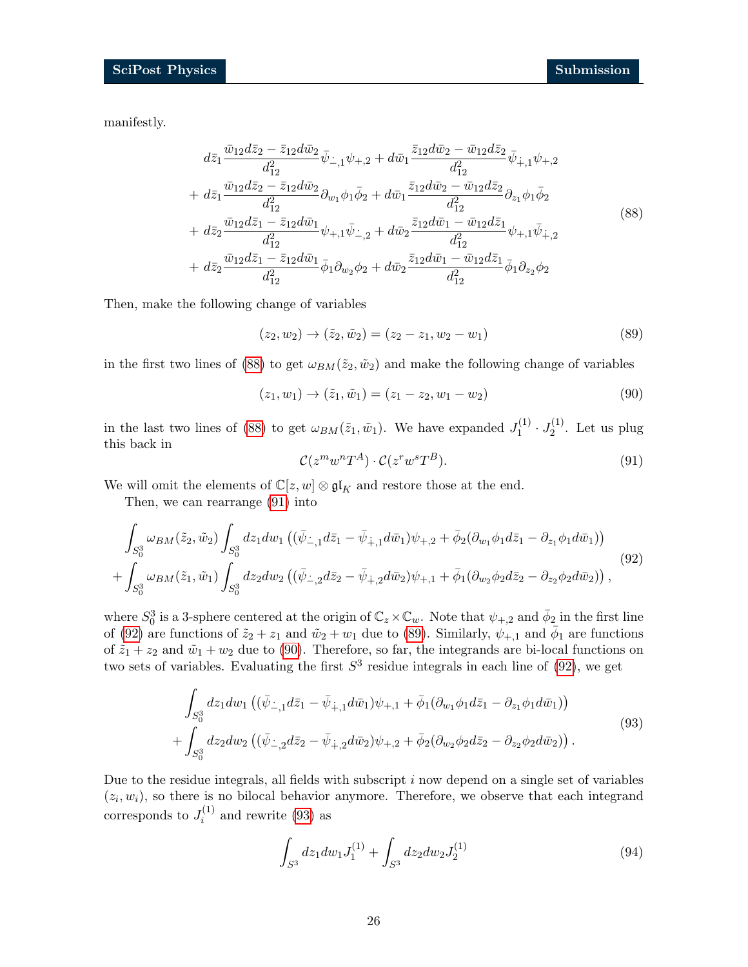manifestly.

<span id="page-25-0"></span>
$$
d\bar{z}_{1} \frac{\bar{w}_{12}d\bar{z}_{2} - \bar{z}_{12}d\bar{w}_{2}}{d_{12}^{2}} \bar{\psi}_{-,1}\psi_{+,2} + d\bar{w}_{1} \frac{\bar{z}_{12}d\bar{w}_{2} - \bar{w}_{12}d\bar{z}_{2}}{d_{12}^{2}} \bar{\psi}_{+,1}\psi_{+,2} + d\bar{z}_{1} \frac{\bar{w}_{12}d\bar{z}_{2} - \bar{z}_{12}d\bar{w}_{2}}{d_{12}^{2}} \partial_{w_{1}}\phi_{1}\bar{\phi}_{2} + d\bar{w}_{1} \frac{\bar{z}_{12}d\bar{w}_{2} - \bar{w}_{12}d\bar{z}_{2}}{d_{12}^{2}} \partial_{z_{1}}\phi_{1}\bar{\phi}_{2} + d\bar{z}_{2} \frac{\bar{w}_{12}d\bar{z}_{1} - \bar{z}_{12}d\bar{w}_{1}}{d_{12}^{2}} \psi_{+,1}\bar{\psi}_{-,2} + d\bar{w}_{2} \frac{\bar{z}_{12}d\bar{w}_{1} - \bar{w}_{12}d\bar{z}_{1}}{d_{12}^{2}} \psi_{+,1}\bar{\psi}_{+,2} + d\bar{z}_{2} \frac{\bar{w}_{12}d\bar{z}_{1} - \bar{z}_{12}d\bar{w}_{1}}{d_{12}^{2}} \bar{\phi}_{1}\partial_{w_{2}}\phi_{2} + d\bar{w}_{2} \frac{\bar{z}_{12}d\bar{w}_{1} - \bar{w}_{12}d\bar{z}_{1}}{d_{12}^{2}} \bar{\phi}_{1}\partial_{z_{2}}\phi_{2}
$$
\n
$$
(88)
$$

Then, make the following change of variables

<span id="page-25-3"></span>
$$
(z_2, w_2) \to (\tilde{z}_2, \tilde{w}_2) = (z_2 - z_1, w_2 - w_1)
$$
\n(89)

in the first two lines of [\(88\)](#page-25-0) to get  $\omega_{BM}(\tilde{z}_2, \tilde{w}_2)$  and make the following change of variables

$$
(z_1, w_1) \to (\tilde{z}_1, \tilde{w}_1) = (z_1 - z_2, w_1 - w_2)
$$
\n(90)

<span id="page-25-1"></span>in the last two lines of [\(88\)](#page-25-0) to get  $\omega_{BM}(\tilde{z}_1, \tilde{w}_1)$ . We have expanded  $J_1^{(1)}$  $J_1^{(1)} \cdot J_2^{(1)}$  $2^{(1)}$ . Let us plug this back in

<span id="page-25-5"></span><span id="page-25-4"></span><span id="page-25-2"></span>
$$
\mathcal{C}(z^m w^n T^A) \cdot \mathcal{C}(z^r w^s T^B). \tag{91}
$$

We will omit the elements of  $\mathbb{C}[z,w] \otimes \mathfrak{gl}_K$  and restore those at the end.

Then, we can rearrange [\(91\)](#page-25-1) into

$$
\int_{S_0^3} \omega_{BM}(\tilde{z}_2, \tilde{w}_2) \int_{S_0^3} dz_1 dw_1 \left( (\bar{\psi}_{-,1} d\bar{z}_1 - \bar{\psi}_{+,1} d\bar{w}_1) \psi_{+,2} + \bar{\phi}_2 (\partial_{w_1} \phi_1 d\bar{z}_1 - \partial_{z_1} \phi_1 d\bar{w}_1) \right) + \int_{S_0^3} \omega_{BM}(\tilde{z}_1, \tilde{w}_1) \int_{S_0^3} dz_2 dw_2 \left( (\bar{\psi}_{-,2} d\bar{z}_2 - \bar{\psi}_{+,2} d\bar{w}_2) \psi_{+,1} + \bar{\phi}_1 (\partial_{w_2} \phi_2 d\bar{z}_2 - \partial_{z_2} \phi_2 d\bar{w}_2) \right),
$$
\n(92)

where  $S_0^3$  is a 3-sphere centered at the origin of  $\mathbb{C}_z \times \mathbb{C}_w$ . Note that  $\psi_{+,2}$  and  $\bar{\phi}_2$  in the first line of [\(92\)](#page-25-2) are functions of  $\tilde{z}_2 + z_1$  and  $\tilde{w}_2 + w_1$  due to [\(89\)](#page-25-3). Similarly,  $\psi_{+,1}$  and  $\bar{\phi}_1$  are functions of  $\tilde{z}_1 + z_2$  and  $\tilde{w}_1 + w_2$  due to [\(90\)](#page-25-4). Therefore, so far, the integrands are bi-local functions on two sets of variables. Evaluating the first  $S<sup>3</sup>$  residue integrals in each line of [\(92\)](#page-25-2), we get

$$
\int_{S_0^3} dz_1 dw_1 \left( (\bar{\psi}_{-,1} d\bar{z}_1 - \bar{\psi}_{+,1} d\bar{w}_1) \psi_{+,1} + \bar{\phi}_1 (\partial_{w_1} \phi_1 d\bar{z}_1 - \partial_{z_1} \phi_1 d\bar{w}_1) \right) + \int_{S_0^3} dz_2 dw_2 \left( (\bar{\psi}_{-,2} d\bar{z}_2 - \bar{\psi}_{+,2} d\bar{w}_2) \psi_{+,2} + \bar{\phi}_2 (\partial_{w_2} \phi_2 d\bar{z}_2 - \partial_{z_2} \phi_2 d\bar{w}_2) \right).
$$
\n(93)

Due to the residue integrals, all fields with subscript  $i$  now depend on a single set of variables  $(z_i, w_i)$ , so there is no bilocal behavior anymore. Therefore, we observe that each integrand corresponds to  $J_i^{(1)}$  $i^{(1)}$  and rewrite [\(93\)](#page-25-5) as

<span id="page-25-6"></span>
$$
\int_{S^3} dz_1 dw_1 J_1^{(1)} + \int_{S^3} dz_2 dw_2 J_2^{(1)} \tag{94}
$$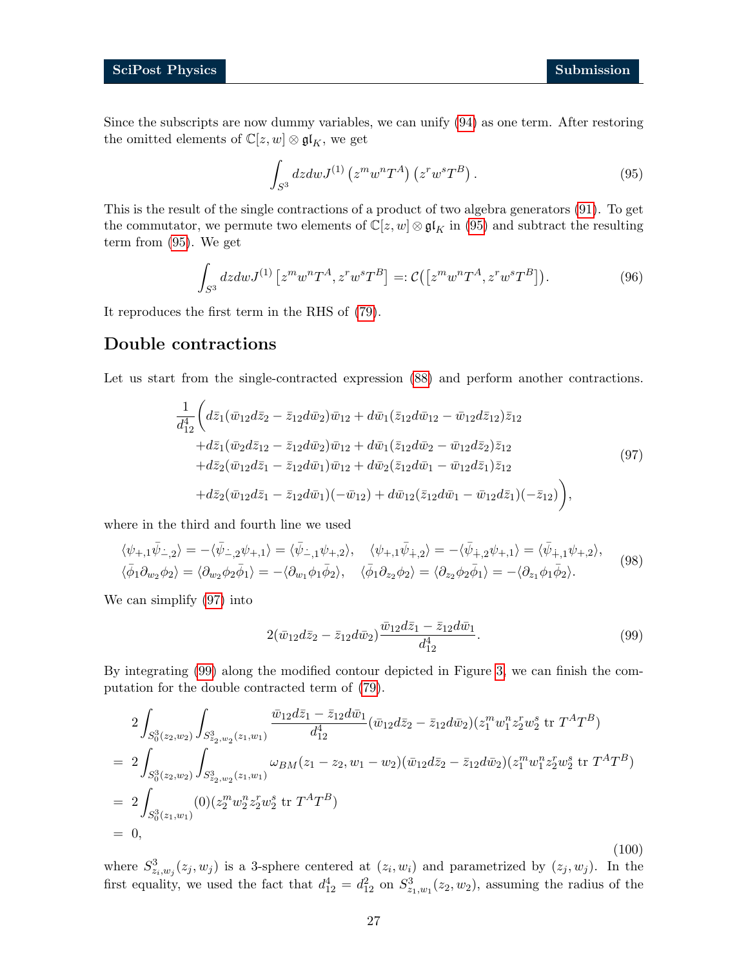Since the subscripts are now dummy variables, we can unify [\(94\)](#page-25-6) as one term. After restoring the omitted elements of  $\mathbb{C}[z,w]\otimes\mathfrak{gl}_K,$  we get

<span id="page-26-0"></span>
$$
\int_{S^3} dz dw J^{(1)} \left( z^m w^n T^A \right) \left( z^r w^s T^B \right). \tag{95}
$$

This is the result of the single contractions of a product of two algebra generators [\(91\)](#page-25-1). To get the commutator, we permute two elements of  $\mathbb{C}[z, w] \otimes \mathfrak{gl}_K$  in [\(95\)](#page-26-0) and subtract the resulting term from [\(95\)](#page-26-0). We get

<span id="page-26-3"></span>
$$
\int_{S^3} dz dw J^{(1)} \left[ z^m w^n T^A, z^r w^s T^B \right] =: \mathcal{C} \left( \left[ z^m w^n T^A, z^r w^s T^B \right] \right). \tag{96}
$$

It reproduces the first term in the RHS of [\(79\)](#page-23-3).

# Double contractions

<span id="page-26-1"></span>Let us start from the single-contracted expression  $(88)$  and perform another contractions.

$$
\frac{1}{d_{12}^{4}} \bigg( d\bar{z}_{1} (\bar{w}_{12} d\bar{z}_{2} - \bar{z}_{12} d\bar{w}_{2}) \bar{w}_{12} + d\bar{w}_{1} (\bar{z}_{12} d\bar{w}_{12} - \bar{w}_{12} d\bar{z}_{12}) \bar{z}_{12} \n+ d\bar{z}_{1} (\bar{w}_{2} d\bar{z}_{12} - \bar{z}_{12} d\bar{w}_{2}) \bar{w}_{12} + d\bar{w}_{1} (\bar{z}_{12} d\bar{w}_{2} - \bar{w}_{12} d\bar{z}_{2}) \bar{z}_{12} \n+ d\bar{z}_{2} (\bar{w}_{12} d\bar{z}_{1} - \bar{z}_{12} d\bar{w}_{1}) \bar{w}_{12} + d\bar{w}_{2} (\bar{z}_{12} d\bar{w}_{1} - \bar{w}_{12} d\bar{z}_{1}) \bar{z}_{12} \n+ d\bar{z}_{2} (\bar{w}_{12} d\bar{z}_{1} - \bar{z}_{12} d\bar{w}_{1}) (-\bar{w}_{12}) + d\bar{w}_{12} (\bar{z}_{12} d\bar{w}_{1} - \bar{w}_{12} d\bar{z}_{1}) (-\bar{z}_{12}) \bigg), \tag{97}
$$

where in the third and fourth line we used

$$
\langle \psi_{+,1}\bar{\psi}_{-,2}\rangle = -\langle \bar{\psi}_{-,2}\psi_{+,1}\rangle = \langle \bar{\psi}_{-,1}\psi_{+,2}\rangle, \quad \langle \psi_{+,1}\bar{\psi}_{+,2}\rangle = -\langle \bar{\psi}_{+,2}\psi_{+,1}\rangle = \langle \bar{\psi}_{+,1}\psi_{+,2}\rangle, \n\langle \bar{\phi}_1 \partial_{w_2} \phi_2 \rangle = \langle \partial_{w_2} \phi_2 \bar{\phi}_1 \rangle = -\langle \partial_{w_1} \phi_1 \bar{\phi}_2 \rangle, \quad \langle \bar{\phi}_1 \partial_{z_2} \phi_2 \rangle = \langle \partial_{z_2} \phi_2 \bar{\phi}_1 \rangle = -\langle \partial_{z_1} \phi_1 \bar{\phi}_2 \rangle.
$$
\n(98)

We can simplify [\(97\)](#page-26-1) into

<span id="page-26-2"></span>
$$
2(\bar{w}_{12}d\bar{z}_2 - \bar{z}_{12}d\bar{w}_2)\frac{\bar{w}_{12}d\bar{z}_1 - \bar{z}_{12}d\bar{w}_1}{d_{12}^4}.
$$
\n(99)

By integrating [\(99\)](#page-26-2) along the modified contour depicted in Figure [3,](#page-18-2) we can finish the computation for the double contracted term of [\(79\)](#page-23-3).

$$
2\int_{S_0^3(z_2,w_2)} \int_{S_{z_2,w_2}^3(z_1,w_1)} \frac{\bar{w}_{12}d\bar{z}_1 - \bar{z}_{12}d\bar{w}_1}{d_{12}^4} (\bar{w}_{12}d\bar{z}_2 - \bar{z}_{12}d\bar{w}_2)(z_1^m w_1^n z_2^r w_2^s \text{ tr } T^A T^B)
$$
  
\n
$$
= 2\int_{S_0^3(z_2,w_2)} \int_{S_{z_2,w_2}^3(z_1,w_1)} \omega_{BM}(z_1 - z_2, w_1 - w_2)(\bar{w}_{12}d\bar{z}_2 - \bar{z}_{12}d\bar{w}_2)(z_1^m w_1^n z_2^r w_2^s \text{ tr } T^A T^B)
$$
  
\n
$$
= 2\int_{S_0^3(z_1,w_1)} (0)(z_2^m w_2^n z_2^r w_2^s \text{ tr } T^A T^B)
$$
  
\n
$$
= 0,
$$

where  $S^3_{z_i,w_j}(z_j,w_j)$  is a 3-sphere centered at  $(z_i,w_i)$  and parametrized by  $(z_j,w_j)$ . In the first equality, we used the fact that  $d_{12}^4 = d_{12}^2$  on  $S_{z_1,w_1}^3(z_2, w_2)$ , assuming the radius of the

(100)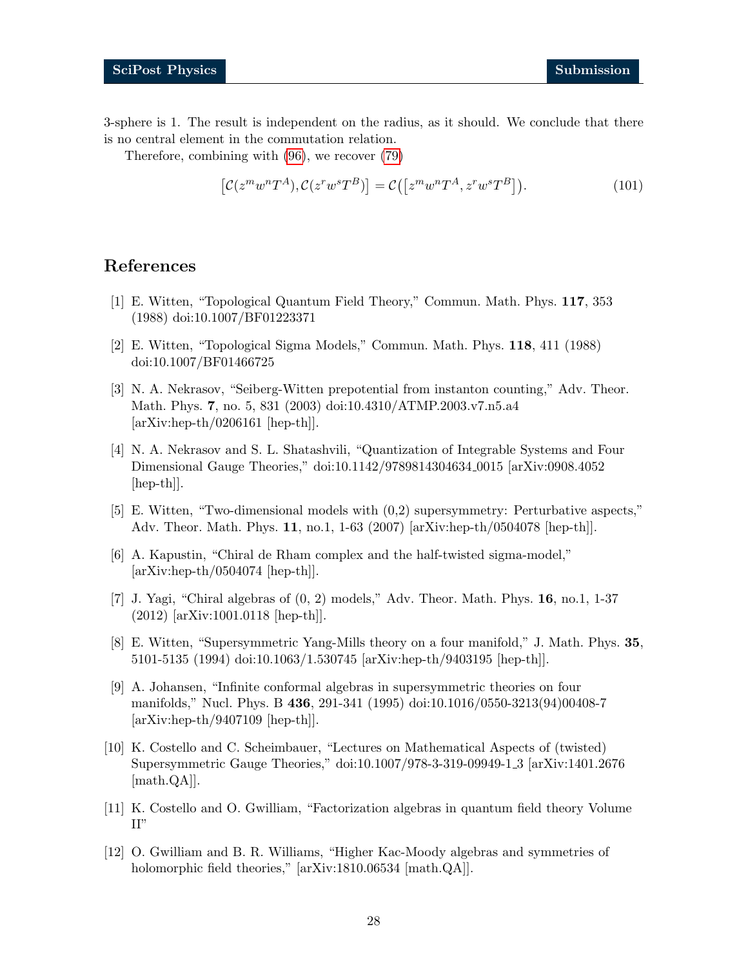3-sphere is 1. The result is independent on the radius, as it should. We conclude that there is no central element in the commutation relation.

Therefore, combining with [\(96\)](#page-26-3), we recover [\(79\)](#page-23-3)

<span id="page-27-0"></span>
$$
\left[\mathcal{C}(z^m w^n T^A), \mathcal{C}(z^r w^s T^B)\right] = \mathcal{C}\left(\left[z^m w^n T^A, z^r w^s T^B\right]\right). \tag{101}
$$

# References

- <span id="page-27-1"></span>[1] E. Witten, "Topological Quantum Field Theory," Commun. Math. Phys. 117, 353 (1988) doi:10.1007/BF01223371
- <span id="page-27-2"></span>[2] E. Witten, "Topological Sigma Models," Commun. Math. Phys. 118, 411 (1988) doi:10.1007/BF01466725
- <span id="page-27-3"></span>[3] N. A. Nekrasov, "Seiberg-Witten prepotential from instanton counting," Adv. Theor. Math. Phys. 7, no. 5, 831 (2003) doi:10.4310/ATMP.2003.v7.n5.a4 [arXiv:hep-th/0206161 [hep-th]].
- <span id="page-27-4"></span>[4] N. A. Nekrasov and S. L. Shatashvili, "Quantization of Integrable Systems and Four Dimensional Gauge Theories," doi:10.1142/9789814304634 0015 [arXiv:0908.4052 [hep-th]].
- <span id="page-27-5"></span>[5] E. Witten, "Two-dimensional models with (0,2) supersymmetry: Perturbative aspects," Adv. Theor. Math. Phys. 11, no.1, 1-63 (2007) [arXiv:hep-th/0504078 [hep-th]].
- [6] A. Kapustin, "Chiral de Rham complex and the half-twisted sigma-model,"  $[\text{arXiv:hep-th}/0504074$   $[\text{hep-th}]]$ .
- <span id="page-27-6"></span>[7] J. Yagi, "Chiral algebras of (0, 2) models," Adv. Theor. Math. Phys. 16, no.1, 1-37 (2012) [arXiv:1001.0118 [hep-th]].
- <span id="page-27-7"></span>[8] E. Witten, "Supersymmetric Yang-Mills theory on a four manifold," J. Math. Phys. 35, 5101-5135 (1994) doi:10.1063/1.530745 [arXiv:hep-th/9403195 [hep-th]].
- <span id="page-27-11"></span>[9] A. Johansen, "Infinite conformal algebras in supersymmetric theories on four manifolds," Nucl. Phys. B 436, 291-341 (1995) doi:10.1016/0550-3213(94)00408-7 [arXiv:hep-th/9407109 [hep-th]].
- <span id="page-27-8"></span>[10] K. Costello and C. Scheimbauer, "Lectures on Mathematical Aspects of (twisted) Supersymmetric Gauge Theories," doi:10.1007/978-3-319-09949-1 3 [arXiv:1401.2676 [math.QA]].
- <span id="page-27-9"></span>[11] K. Costello and O. Gwilliam, "Factorization algebras in quantum field theory Volume II"
- <span id="page-27-10"></span>[12] O. Gwilliam and B. R. Williams, "Higher Kac-Moody algebras and symmetries of holomorphic field theories," [arXiv:1810.06534 [math.QA]].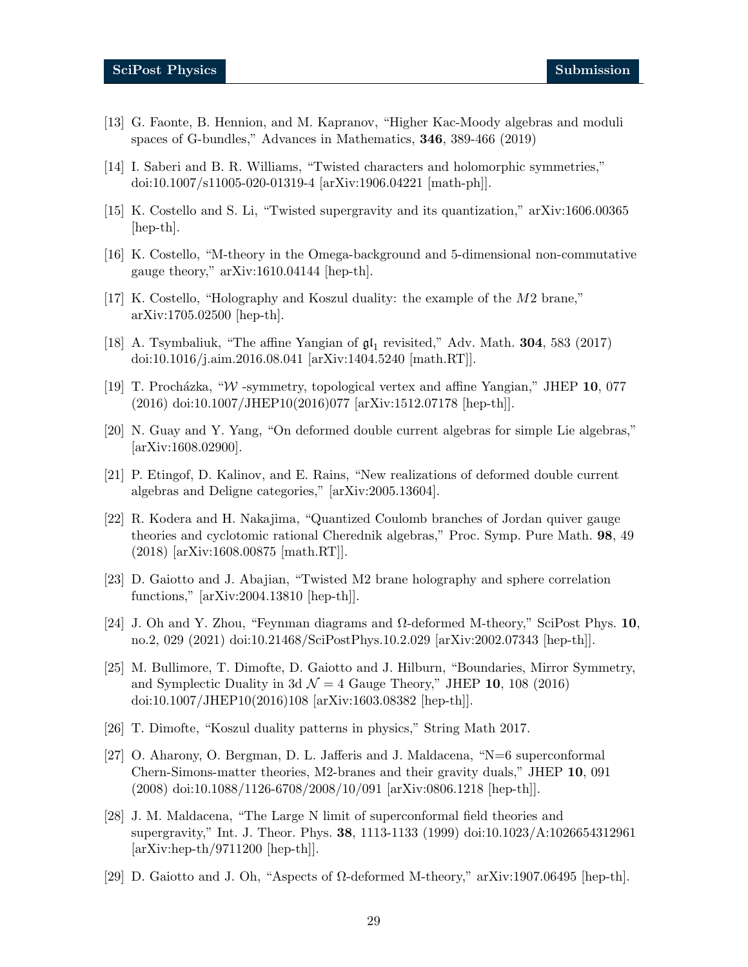- [13] G. Faonte, B. Hennion, and M. Kapranov, "Higher Kac-Moody algebras and moduli spaces of G-bundles," Advances in Mathematics, 346, 389-466 (2019)
- <span id="page-28-0"></span>[14] I. Saberi and B. R. Williams, "Twisted characters and holomorphic symmetries," doi:10.1007/s11005-020-01319-4 [arXiv:1906.04221 [math-ph]].
- <span id="page-28-1"></span>[15] K. Costello and S. Li, "Twisted supergravity and its quantization," arXiv:1606.00365 [hep-th].
- <span id="page-28-2"></span>[16] K. Costello, "M-theory in the Omega-background and 5-dimensional non-commutative gauge theory," arXiv:1610.04144 [hep-th].
- <span id="page-28-3"></span> $[17]$  K. Costello, "Holography and Koszul duality: the example of the  $M2$  brane," arXiv:1705.02500 [hep-th].
- <span id="page-28-4"></span>[18] A. Tsymbaliuk, "The affine Yangian of  $\mathfrak{gl}_1$  revisited," Adv. Math. **304**, 583 (2017) doi:10.1016/j.aim.2016.08.041 [arXiv:1404.5240 [math.RT]].
- <span id="page-28-5"></span>[19] T. Procházka, "W -symmetry, topological vertex and affine Yangian," JHEP 10, 077 (2016) doi:10.1007/JHEP10(2016)077 [arXiv:1512.07178 [hep-th]].
- <span id="page-28-6"></span>[20] N. Guay and Y. Yang, "On deformed double current algebras for simple Lie algebras," [arXiv:1608.02900].
- [21] P. Etingof, D. Kalinov, and E. Rains, "New realizations of deformed double current algebras and Deligne categories," [arXiv:2005.13604].
- [22] R. Kodera and H. Nakajima, "Quantized Coulomb branches of Jordan quiver gauge theories and cyclotomic rational Cherednik algebras," Proc. Symp. Pure Math. 98, 49 (2018) [arXiv:1608.00875 [math.RT]].
- <span id="page-28-13"></span>[23] D. Gaiotto and J. Abajian, "Twisted M2 brane holography and sphere correlation functions," [arXiv:2004.13810 [hep-th]].
- <span id="page-28-7"></span>[24] J. Oh and Y. Zhou, "Feynman diagrams and  $\Omega$ -deformed M-theory," SciPost Phys. 10, no.2, 029 (2021) doi:10.21468/SciPostPhys.10.2.029 [arXiv:2002.07343 [hep-th]].
- <span id="page-28-10"></span>[25] M. Bullimore, T. Dimofte, D. Gaiotto and J. Hilburn, "Boundaries, Mirror Symmetry, and Symplectic Duality in 3d  $\mathcal{N} = 4$  Gauge Theory," JHEP 10, 108 (2016) doi:10.1007/JHEP10(2016)108 [arXiv:1603.08382 [hep-th]].
- <span id="page-28-11"></span>[26] T. Dimofte, "Koszul duality patterns in physics," String Math 2017.
- <span id="page-28-8"></span>[27] O. Aharony, O. Bergman, D. L. Jafferis and J. Maldacena, "N=6 superconformal Chern-Simons-matter theories, M2-branes and their gravity duals," JHEP 10, 091  $(2008)$  doi:10.1088/1126-6708/2008/10/091 [arXiv:0806.1218 [hep-th]].
- <span id="page-28-9"></span>[28] J. M. Maldacena, "The Large N limit of superconformal field theories and supergravity," Int. J. Theor. Phys. 38, 1113-1133 (1999) doi:10.1023/A:1026654312961 [arXiv:hep-th/9711200 [hep-th]].
- <span id="page-28-12"></span>[29] D. Gaiotto and J. Oh, "Aspects of Ω-deformed M-theory," arXiv:1907.06495 [hep-th].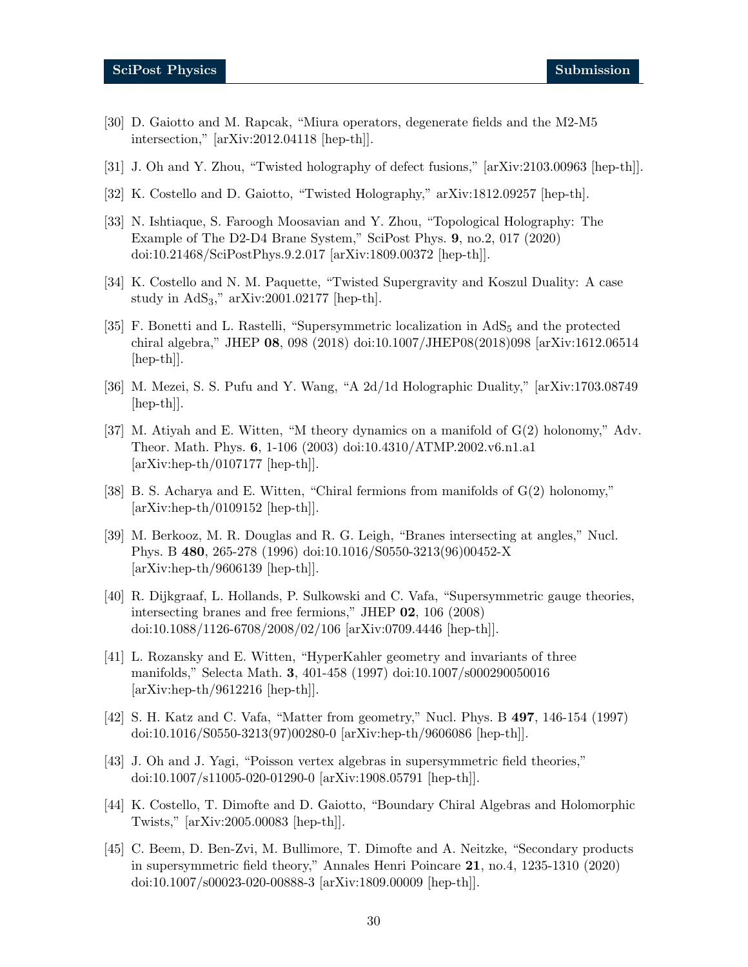- <span id="page-29-0"></span>[30] D. Gaiotto and M. Rapcak, "Miura operators, degenerate fields and the M2-M5 intersection," [arXiv:2012.04118 [hep-th]].
- <span id="page-29-1"></span>[31] J. Oh and Y. Zhou, "Twisted holography of defect fusions," [arXiv:2103.00963 [hep-th]].
- <span id="page-29-2"></span>[32] K. Costello and D. Gaiotto, "Twisted Holography," arXiv:1812.09257 [hep-th].
- <span id="page-29-3"></span>[33] N. Ishtiaque, S. Faroogh Moosavian and Y. Zhou, "Topological Holography: The Example of The D2-D4 Brane System," SciPost Phys. 9, no.2, 017 (2020) doi:10.21468/SciPostPhys.9.2.017 [arXiv:1809.00372 [hep-th]].
- <span id="page-29-4"></span>[34] K. Costello and N. M. Paquette, "Twisted Supergravity and Koszul Duality: A case study in AdS3," arXiv:2001.02177 [hep-th].
- <span id="page-29-5"></span>[35] F. Bonetti and L. Rastelli, "Supersymmetric localization in AdS<sub>5</sub> and the protected chiral algebra," JHEP 08, 098 (2018) doi:10.1007/JHEP08(2018)098 [arXiv:1612.06514  $\vert \text{hep-th} \vert$ .
- <span id="page-29-6"></span>[36] M. Mezei, S. S. Pufu and Y. Wang, "A 2d/1d Holographic Duality," [arXiv:1703.08749 [hep-th]].
- <span id="page-29-7"></span>[37] M. Atiyah and E. Witten, "M theory dynamics on a manifold of G(2) holonomy," Adv. Theor. Math. Phys. 6, 1-106 (2003) doi:10.4310/ATMP.2002.v6.n1.a1  $[\text{arXiv:hep-th}/0107177$   $[\text{hep-th}]]$ .
- <span id="page-29-8"></span>[38] B. S. Acharya and E. Witten, "Chiral fermions from manifolds of  $G(2)$  holonomy," [arXiv:hep-th/0109152 [hep-th]].
- <span id="page-29-9"></span>[39] M. Berkooz, M. R. Douglas and R. G. Leigh, "Branes intersecting at angles," Nucl. Phys. B 480, 265-278 (1996) doi:10.1016/S0550-3213(96)00452-X [arXiv:hep-th/9606139 [hep-th]].
- <span id="page-29-15"></span>[40] R. Dijkgraaf, L. Hollands, P. Sulkowski and C. Vafa, "Supersymmetric gauge theories, intersecting branes and free fermions," JHEP 02, 106 (2008) doi:10.1088/1126-6708/2008/02/106 [arXiv:0709.4446 [hep-th]].
- <span id="page-29-10"></span>[41] L. Rozansky and E. Witten, "HyperKahler geometry and invariants of three manifolds," Selecta Math. 3, 401-458 (1997) doi:10.1007/s000290050016  $[\text{arXiv:hep-th}/9612216$   $[\text{hep-th}]]$ .
- <span id="page-29-11"></span>[42] S. H. Katz and C. Vafa, "Matter from geometry," Nucl. Phys. B 497, 146-154 (1997) doi:10.1016/S0550-3213(97)00280-0 [arXiv:hep-th/9606086 [hep-th]].
- <span id="page-29-13"></span>[43] J. Oh and J. Yagi, "Poisson vertex algebras in supersymmetric field theories," doi:10.1007/s11005-020-01290-0 [arXiv:1908.05791 [hep-th]].
- <span id="page-29-12"></span>[44] K. Costello, T. Dimofte and D. Gaiotto, "Boundary Chiral Algebras and Holomorphic Twists," [arXiv:2005.00083 [hep-th]].
- <span id="page-29-14"></span>[45] C. Beem, D. Ben-Zvi, M. Bullimore, T. Dimofte and A. Neitzke, "Secondary products in supersymmetric field theory," Annales Henri Poincare 21, no.4, 1235-1310 (2020) doi:10.1007/s00023-020-00888-3 [arXiv:1809.00009 [hep-th]].